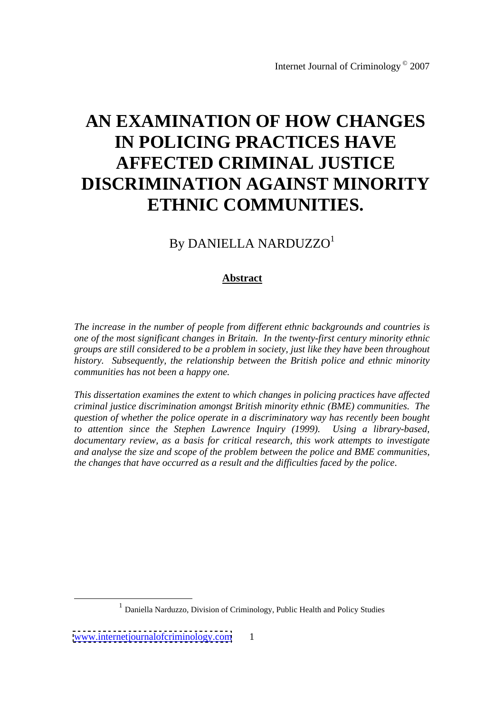# **AN EXAMINATION OF HOW CHANGES IN POLICING PRACTICES HAVE AFFECTED CRIMINAL JUSTICE DISCRIMINATION AGAINST MINORITY ETHNIC COMMUNITIES.**

# By DANIELLA NARDUZZO<sup>1</sup>

# **Abstract**

*The increase in the number of people from dif erent ethnic backgrounds and countries is one of the most significant changes in Britain. In the twenty-first century minority ethnic groups are still considered to be a problem in society, just like they have been throughout history. Subsequently, the relationship between the British police and ethnic minority communities has not been a happy one.* 

*This dissertation examines the extent to which changes in policing practices have affected criminal justice discrimination amongst British minority ethnic (BME) communities. The question of whether the police operate in a discriminatory way has recently been bought to attention since the Stephen Lawrence Inquiry (1999). Using a library-based, documentary review, as a basis for critical research, this work attempts to investigate and analyse the size and scope of the problem between the police and BME communities, the changes that have occurred as a result and the difficulties faced by the police*.

 <sup>1</sup> Daniella Narduzzo, Division of Criminology, Public Health and Policy Studies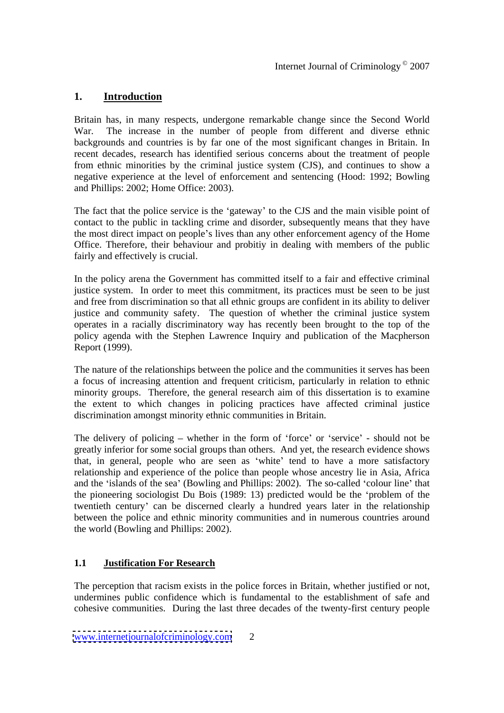# **1. Introduction**

Britain has, in many respects, undergone remarkable change since the Second World War. The increase in the number of people from different and diverse ethnic backgrounds and countries is by far one of the most significant changes in Britain. In recent decades, research has identified serious concerns about the treatment of people from ethnic minorities by the criminal justice system (CJS), and continues to show a negative experience at the level of enforcement and sentencing (Hood: 1992; Bowling and Phillips: 2002; Home Office: 2003).

The fact that the police service is the 'gateway' to the CJS and the main visible point of contact to the public in tackling crime and disorder, subsequently means that they have the most direct impact on people's lives than any other enforcement agency of the Home Office. Therefore, their behaviour and probitiy in dealing with members of the public fairly and effectively is crucial.

In the policy arena the Government has committed itself to a fair and effective criminal justice system. In order to meet this commitment, its practices must be seen to be just and free from discrimination so that all ethnic groups are confident in its ability to deliver justice and community safety. The question of whether the criminal justice system operates in a racially discriminatory way has recently been brought to the top of the policy agenda with the Stephen Lawrence Inquiry and publication of the Macpherson Report (1999).

The nature of the relationships between the police and the communities it serves has been a focus of increasing attention and frequent criticism, particularly in relation to ethnic minority groups. Therefore, the general research aim of this dissertation is to examine the extent to which changes in policing practices have affected criminal justice discrimination amongst minority ethnic communities in Britain.

The delivery of policing  $-$  whether in the form of 'force' or 'service' - should not be greatly inferior for some social groups than others. And yet, the research evidence shows that, in general, people who are seen as 'white' tend to have a more satisfactory relationship and experience of the police than people whose ancestry lie in Asia, Africa and the 'islands of the sea' (Bowling and Phillips: 2002). The so-called 'colour line' that the pioneering sociologist Du Bois (1989: 13) predicted would be the 'problem of the twentieth century can be discerned clearly a hundred years later in the relationship between the police and ethnic minority communities and in numerous countries around the world (Bowling and Phillips: 2002).

# **1.1 Justification For Research**

The perception that racism exists in the police forces in Britain, whether justified or not, undermines public confidence which is fundamental to the establishment of safe and cohesive communities. During the last three decades of the twenty-first century people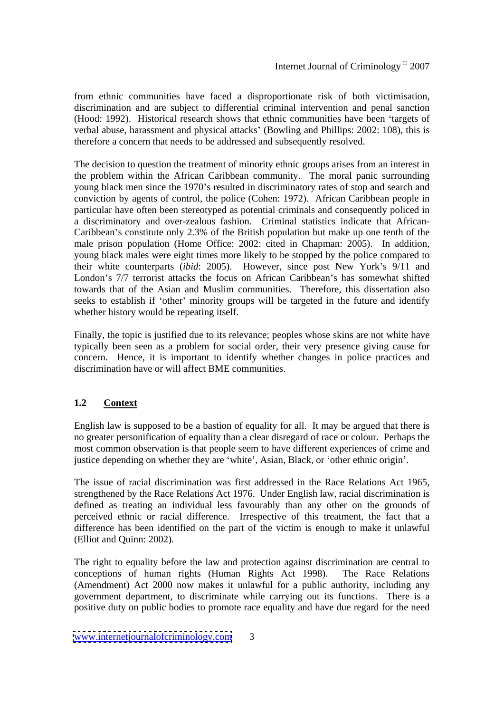from ethnic communities have faced a disproportionate risk of both victimisation, discrimination and are subject to differential criminal intervention and penal sanction (Hood: 1992). Historical research shows that ethnic communities have been 'targets of verbal abuse, harassment and physical attacks (Bowling and Phillips: 2002: 108), this is therefore a concern that needs to be addressed and subsequently resolved.

The decision to question the treatment of minority ethnic groups arises from an interest in the problem within the African Caribbean community. The moral panic surrounding young black men since the 1970's resulted in discriminatory rates of stop and search and conviction by agents of control, the police (Cohen: 1972). African Caribbean people in particular have often been stereotyped as potential criminals and consequently policed in a discriminatory and over-zealous fashion. Criminal statistics indicate that African- Caribbean's constitute only 2.3% of the British population but make up one tenth of the male prison population (Home Office: 2002: cited in Chapman: 2005). In addition, young black males were eight times more likely to be stopped by the police compared to their white counterparts (*ibid*: 2005). However, since post New York's 9/11 and London's 7/7 terrorist attacks the focus on African Caribbean's has somewhat shifted towards that of the Asian and Muslim communities. Therefore, this dissertation also seeks to establish if 'other' minority groups will be targeted in the future and identify whether history would be repeating itself.

Finally, the topic is justified due to its relevance; peoples whose skins are not white have typically been seen as a problem for social order, their very presence giving cause for concern. Hence, it is important to identify whether changes in police practices and discrimination have or will affect BME communities.

# **1.2 Context**

English law is supposed to be abastion of equality for all. It may be argued that there is no greater personification of equality than a clear disregard of race or colour. Perhaps the most common observation is that people seem to have different experiences of crime and justice depending on whether they are 'white', Asian, Black, or 'other ethnic origin'.

The issue of racial discrimination was first addressed in the Race Relations Act 1965, strengthened by the Race Relations Act 1976. Under English law, racial discrimination is defined as treating an individual less favourably than any other on the grounds of perceived ethnic or racial difference. Irrespective of this treatment, the fact that a difference has been identified on the part of the victim is enough to make it unlawful (Elliot and Quinn: 2002).

The right to equality before the law and protection against discrimination are central to conceptions of human rights (Human Rights Act 1998). The Race Relations (Amendment) Act 2000 now makes it unlawful for a public authority, including any government department, to discriminate while carrying out its functions. There is a positive duty on public bodies to promote race equality and have due regard for the need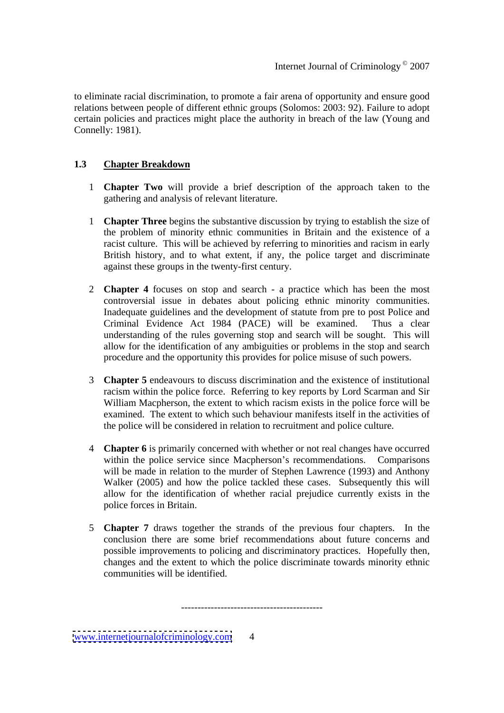to eliminate racial discrimination, to promote a fair arena of opportunity and ensure good relations between people of different ethnic groups (Solomos: 2003: 92). Failure to adopt certain policies and practices might place the authority in breach of the law (Young and Connelly: 1981).

#### **1.3 Chapter Breakdown**

- 1 **Chapter Two** will provide a brief description of the approach taken to the gathering and analysis of relevant literature.
- 1 **Chapter Three** begins the substantive discussion by trying to establish the size of the problem of minority ethnic communities in Britain and the existence of a racist culture. This will be achieved by referring to minorities and racism in early British history, and to what extent, if any, the police target and discriminate against these groups in the twenty-first century.
- 2 **Chapter 4** focuses on stop and search a practice which has been the most controversial issue in debates about policing ethnic minority communities. Inadequate guidelines and the development of statute from pre to post Police and Criminal Evidence Act 1984 (PACE) will be examined. Thus a clear understanding of the rules governing stop and search will be sought. This will allow for the identification of any ambiguities or problems in the stop and search procedure and the opportunity this provides for police misuse of such powers.
- 3 **Chapter 5** endeavours to discuss discrimination and the existence of institutional racism within the police force. Referring to key reports by Lord Scarman and Sir William Macpherson, the extent to which racism exists in the police force will be examined. The extent to which such behaviour manifests itself in the activities of the police will be considered in relation to recruitment and police culture.
- 4 **Chapter 6** is primarily concerned with whether or not real changes have occurred within the police service since Macpherson's recommendations. Comparisons will be made in relation to the murder of Stephen Lawrence (1993) and Anthony Walker (2005) and how the police tackled these cases. Subsequently this will allow for the identification of whether racial prejudice currently exists in the police forces in Britain.
- 5 **Chapter 7** draws together the strands of the previous four chapters. In the conclusion there are some brief recommendations about future concerns and possible improvements to policing and discriminatory practices. Hopefully then, changes and the extent to which the police discriminate towards minority ethnic communities will be identified. -------------------------------------------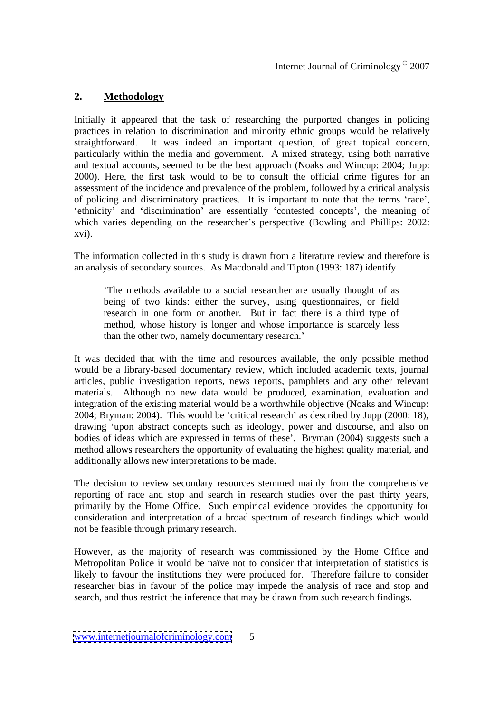# **2. Methodology**

Initially it appeared that the task of researching the purported changes in policing practices in relation to discrimination and minority ethnic groups would be relatively straightforward. It was indeed an important question, of great topical concern, particularly within the media and government. A mixed strategy, using both narrative and textual accounts, seemed to be the best approach (Noaks and Wincup: 2004; Jupp: 2000). Here, the first task would to be to consult the official crime figures for an assessment of the incidence and prevalence of the problem, followed by a critical analysis of policing and discriminatory practices. It is important to note that the terms 'race', 'ethnicity' and 'discrimination' are essentially 'contested concepts', the meaning of which varies depending on the researcher's perspective (Bowling and Phillips: 2002: xvi).

The information collected in this study is drawn from a literature review and therefore is an analysis of secondary sources. As Macdonald and Tipton (1993: 187) identify

The methods available to a social researcher are usually thought of as being of two kinds: either the survey, using questionnaires, or field research in one form or another. But in fact there is a third type of method, whose history is longer and whose importance is scarcely less than the other two, namely documentary research.

It was decided that with the time and resources available, the only possible method would be a library-based documentary review, which included academic texts, journal articles, public investigation reports, news reports, pamphlets and any other relevant materials. Although no new data would be produced, examination, evaluation and integration of the existing material would be a worthwhile objective (Noaks and Wincup: 2004; Bryman: 2004). This would be 'critical research' as described by Jupp (2000: 18), drawing 'upon abstract concepts such as ideology, power and discourse, and also on bodies of ideas which are expressed in terms of these'. Bryman (2004) suggests such a method allows researchers the opportunity of evaluating the highest quality material, and additionally allows new interpretations to be made.

The decision to review secondary resources stemmed mainly from the comprehensive reporting of race and stop and search in research studies over the past thirty years, primarily by the Home Office. Such empirical evidence provides the opportunity for consideration and interpretation of a broad spectrum of research findings which would not be feasible through primary research.

However, as the majority of research was commissioned by the Home Office and Metropolitan Police it would be naïve not to consider that interpretation of statistics is likely to favour the institutions they were produced for. Therefore failure to consider researcher bias in favour of the police may impede the analysis of race and stop and search, and thus restrict the inference that may be drawn from such research findings.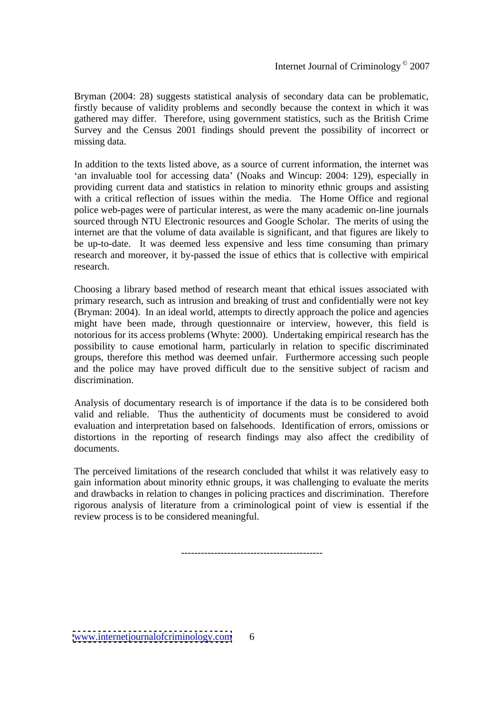Bryman (2004: 28) suggests statistical analysis of secondary data can be problematic, firstly because of validity problems and secondly because the context in which it was gathered may differ. Therefore, using government statistics, such as the British Crime Survey and the Census 2001 findings should prevent the possibility of incorrect or missing data.

In addition to the texts listed above, as a source of current information, the internet was 'an invaluable tool for accessing data' (Noaks and Wincup: 2004: 129), especially in providing current data and statistics in relation to minority ethnic groups and assisting with a critical reflection of issues within the media. The Home Office and regional police web-pages were of particular interest, as were the many academic on-line journals sourced through NTU Electronic resources and Google Scholar. The merits of using the internet are that the volume of data available is significant, and that figures are likely to be up-to-date. It was deemed less expensive and less time consuming than primary research and moreover, it by-passed the issue of ethics that is collective with empirical research.

Choosing a library based method of research meant that ethical issues associated with primary research, such as intrusion and breaking of trust and confidentially were not key (Bryman: 2004). In an ideal world, attempts to directly approach the police and agencies might have been made, through questionnaire or interview, however, this field is notorious for its access problems (Whyte: 2000). Undertaking empirical research has the possibility to cause emotional harm, particularly in relation to specific discriminated groups, therefore this method was deemed unfair. Furthermore accessing such people and the police may have proved difficult due to the sensitive subject of racism and discrimination.

Analysis of documentary research is of importance if the data is to be considered both valid and reliable. Thus the authenticity of documents must be considered to avoid evaluation and interpretation based on falsehoods. Identification of errors, omissions or distortions in the reporting of research findings may also affect the credibility of documents.

The perceived limitations of the research concluded that whilst it was relatively easy to gain information about minority ethnic groups, it was challenging to evaluate the merits and drawbacks in relation to changes in policing practices and discrimination. Therefore rigorous analysis of literature from a criminological point of view is essential if the review process is to be considered meaningful. -------------------------------------------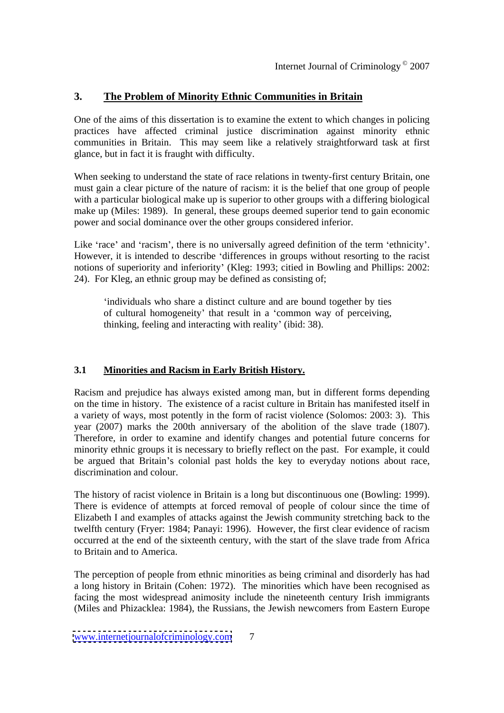# **3. The Problem of Minority Ethnic Communities in Britain**

One of the aims of this dissertation is to examine the extent to which changes in policing practices have affected criminal justice discrimination against minority ethnic communities in Britain. This may seem like a relatively straightforward task at first glance, but in fact it is fraught with difficulty.

When seeking to understand the state of race relations in twenty-first century Britain, one must gain a clear picture of the nature of racism: it is the belief that one group of people with a particular biological make up is superior to other groups with a differing biological make up (Miles: 1989). In general, these groups deemed superior tend to gain economic power and social dominance over the other groups considered inferior.

Like 'race' and 'racism', there is no universally agreed definition of the term 'ethnicity'. However, it is intended to describe 'differences in groups without resorting to the racist notions of superiority and inferiority (Kleg: 1993; citied in Bowling and Phillips: 2002: 24). For Kleg, an ethnic group may be defined as consisting of;

individuals who share a distinct culture and are bound together by ties of cultural homogeneity' that result in a 'common way of perceiving, thinking, feeling and interacting with reality (ibid: 38).

# **3.1 Minorities and Racism in Early British History.**

Racism and prejudice has always existed among man, but in different forms depending on the time in history. The existence of a racist culture in Britain has manifested itself in a variety of ways, most potently in the form of racist violence (Solomos: 2003: 3). This year (2007) marks the 200th anniversary of the abolition of the slave trade (1807). Therefore, in order to examine and identify changes and potential future concerns for minority ethnic groups it is necessary to briefly reflect on the past. For example, it could be argued that Britain's colonial past holds the key to everyday notions about race, discrimination and colour.

The history of racist violence in Britain is a long but discontinuous one (Bowling: 1999). There is evidence of attempts at forced removal of people of colour since the time of Elizabeth I and examples of attacks against the Jewish community stretching back to the twelfth century (Fryer: 1984; Panayi: 1996). However, the first clear evidence of racism occurred at the end of the sixteenth century, with the start of the slave trade from Africa to Britain and to America.

The perception of people from ethnic minorities as being criminal and disorderly has had a long history in Britain (Cohen: 1972). The minorities which have been recognised as facing the most widespread animosity include the nineteenth century Irish immigrants (Miles and Phizacklea: 1984), the Russians, the Jewish newcomers from Eastern Europe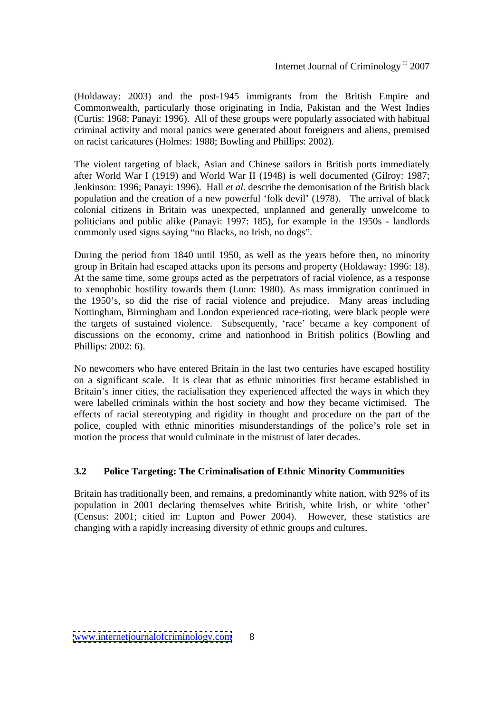(Holdaway: 2003) and the post-1945 immigrants from the British Empire and Commonwealth, particularly those originating in India, Pakistan and the West Indies (Curtis: 1968; Panayi: 1996). All of these groups were popularly associated with habitual criminal activity and moral panics were generated about foreigners and aliens, premised on racist caricatures (Holmes: 1988; Bowling and Phillips: 2002).

The violent targeting of black, Asian and Chinese sailors in British ports immediately after World War I (1919) and World War II (1948) is well documented (Gilroy: 1987; Jenkinson: 1996; Panayi: 1996). Hall *et al.* describe the demonisation of the British black population and the creation of a new powerful 'folk devil' (1978). The arrival of black colonial citizens in Britain was unexpected, unplanned and generally unwelcome to politicians and public alike (Panayi: 1997: 185), for example in the 1950s - landlords commonly used signs saying "no Blacks, no Irish, no dogs".

During the period from 1840 until 1950, as well as the years before then, no minority group in Britain had escaped attacks upon its persons and property (Holdaway: 1996: 18). At the same time, some groups acted as the perpetrators of racial violence, as a response to xenophobic hostility towards them (Lunn: 1980). As mass immigration continued in the 1950's, so did the rise of racial violence and prejudice. Many areas including Nottingham, Birmingham and London experienced race-rioting, were black people were the targets of sustained violence. Subsequently, 'race' became a key component of discussions on the economy, crime and nationhood in British politics (Bowling and Phillips: 2002: 6).

No newcomers who have entered Britain in the last two centuries have escaped hostility on a significant scale. It is clear that as ethnic minorities first became established in Britain's inner cities, the racialisation they experienced affected the ways in which they were labelled criminals within the host society and how they became victimised. The effects of racial stereotyping and rigidity in thought and procedure on the part of the police, coupled with ethnic minorities misunderstandings of the police's role set in motion the process that would culminate in the mistrust of later decades.

#### **3.2 Police Targeting: The Criminalisation of Ethnic Minority Communities**

Britain has traditionally been, and remains, a predominantly white nation, with 92% of its population in 2001 declaring themselves white British, white Irish, or white 'other' (Census: 2001; citied in: Lupton and Power 2004). However, these statistics are changing with a rapidly increasing diversity of ethnic groups and cultures.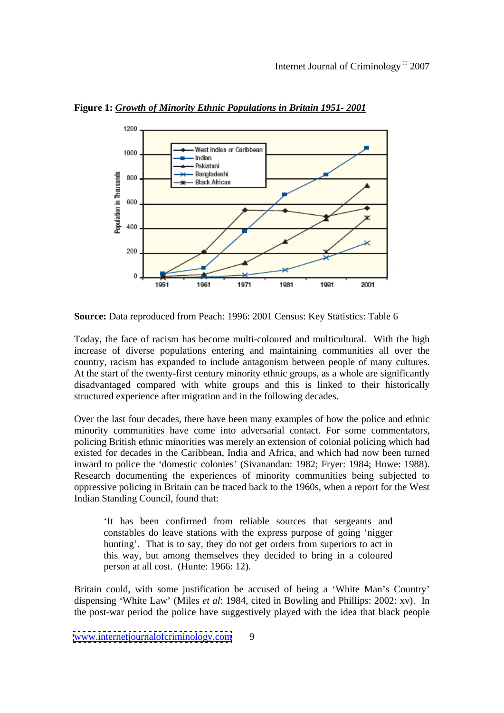

**Figure 1:** *Growth of Minority Ethnic Populations in Britain 1951- 2001*

**Source:** Data reproduced from Peach: 1996: 2001 Census: Key Statistics: Table 6

Today, the face of racism has become multi-coloured and multicultural. With the high increase of diverse populations entering and maintaining communities all over the country, racism has expanded to include antagonism between people of many cultures. At the start of the twenty-first century minority ethnic groups, as a whole are significantly disadvantaged compared with white groups and this is linked to their historically structured experience after migration and in the following decades.

Over the last four decades, there have been many examples of how the police and ethnic minority communities have come into adversarial contact. For some commentators, policing British ethnic minorities was merely an extension of colonial policing which had existed for decades in the Caribbean, India and Africa, and which had now been turned inward to police the 'domestic colonies' (Sivanandan: 1982; Fryer: 1984; Howe: 1988). Research documenting the experiences of minority communities being subjected to oppressive policing in Britain can be traced back to the 1960s, when a report for the West Indian Standing Council, found that:

It has been confirmed from reliable sources that sergeants and constables do leave stations with the express purpose of going 'nigger hunting. That is to say, they do not get orders from superiors to act in this way, but among themselves they decided to bring in a coloured person at all cost. (Hunte: 1966: 12).

Britain could, with some justification be accused of being a 'White Man's Country' dispensing White Law (Miles *et al*: 1984, cited in Bowling and Phillips: 2002: xv). In the post-war period the police have suggestively played with the idea that black people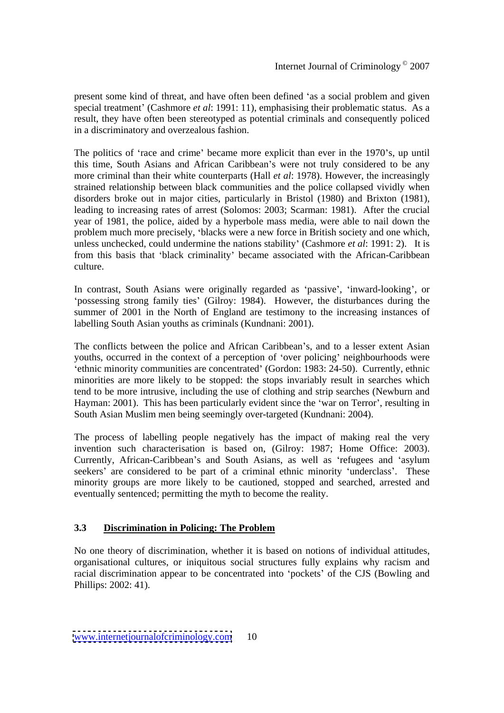present some kind of threat, and have often been defined 'as a social problem and given special treatment (Cashmore *et al*: 1991: 11), emphasising their problematic status. As a result, they have often been stereotyped as potential criminals and consequently policed in a discriminatory and overzealous fashion.

The politics of 'race and crime' became more explicit than ever in the 1970's, up until this time, South Asians and African Caribbean's were not truly considered to be any more criminal than their white counterparts (Hall *et al*: 1978). However, the increasingly strained relationship between black communities and the police collapsed vividly when disorders broke out in major cities, particularly in Bristol (1980) and Brixton (1981), leading to increasing rates of arrest (Solomos: 2003; Scarman: 1981). After the crucial year of 1981, the police, aided by a hyperbole mass media, were able to nail down the problem much more precisely, blacks were a new force in British society and one which, unless unchecked, could undermine the nations stability (Cashmore *et al*: 1991: 2). It is from this basis that 'black criminality' became associated with the African-Caribbean culture.

In contrast, South Asians were originally regarded as 'passive', 'inward-looking', or 'possessing strong family ties' (Gilroy: 1984). However, the disturbances during the summer of 2001 in the North of England are testimony to the increasing instances of labelling South Asian youths as criminals (Kundnani: 2001).

The conflicts between the police and African Caribbean's, and to a lesser extent Asian youths, occurred in the context of a perception of 'over policing' neighbourhoods were ethnic minority communities are concentrated (Gordon: 1983: 24-50). Currently, ethnic minorities are more likely to be stopped: the stops invariably result in searches which tend to be more intrusive, including the use of clothing and strip searches (Newburn and Hayman: 2001). This has been particularly evident since the 'war on Terror', resulting in South Asian Muslim men being seemingly over-targeted (Kundnani: 2004).

The process of labelling people negatively has the impact of making real the very invention such characterisation is based on, (Gilroy: 1987; Home Office: 2003). Currently, African-Caribbean's and South Asians, as well as 'refugees and 'asylum seekers' are considered to be part of a criminal ethnic minority 'underclass'. These minority groups are more likely to be cautioned, stopped and searched, arrested and eventually sentenced; permitting the myth to become the reality.

#### **3.3 Discrimination in Policing: The Problem**

No one theory of discrimination, whether it is based on notions of individual attitudes, organisational cultures, or iniquitous social structures fully explains why racism and racial discrimination appear to be concentrated into 'pockets' of the CJS (Bowling and Phillips: 2002: 41).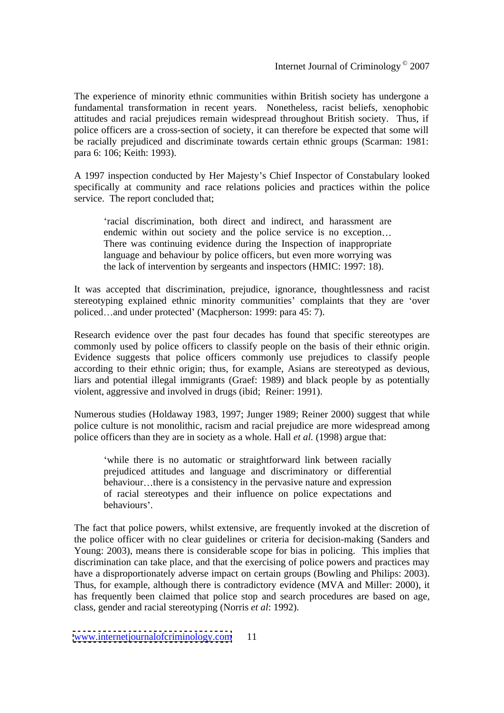The experience of minority ethnic communities within British society has undergone a fundamental transformation in recent years. Nonetheless, racist beliefs, xenophobic attitudes and racial prejudices remain widespread throughout British society. Thus, if police officers are a cross-section of society, it can therefore be expected that some will be racially prejudiced and discriminate towards certain ethnic groups (Scarman: 1981: para 6: 106; Keith: 1993).

A 1997 inspection conducted by Her Majesty s Chief Inspector of Constabulary looked specifically at community and race relations policies and practices within the police service. The report concluded that;

racial discrimination, both direct and indirect, and harassment are endemic within out society and the police service is no exception... There was continuing evidence during the Inspection of inappropriate language and behaviour by police officers, but even more worrying was the lack of intervention by sergeants and inspectors (HMIC: 1997: 18).

It was accepted that discrimination, prejudice, ignorance, thoughtlessness and racist stereotyping explained ethnic minority communities' complaints that they are 'over policed...and under protected' (Macpherson: 1999: para 45: 7).

Research evidence over the past four decades has found that specific stereotypes are commonly used by police officers to classify people on the basis of their ethnic origin. Evidence suggests that police officers commonly use prejudices to classify people according to their ethnic origin; thus, for example, Asians are stereotyped as devious, liars and potential illegal immigrants (Graef: 1989) and black people by as potentially violent, aggressive and involved in drugs (ibid; Reiner: 1991).

Numerous studies (Holdaway 1983, 1997; Junger 1989; Reiner 2000) suggest that while police culture is not monolithic, racism and racial prejudice are more widespread among police officers than they are in society as a whole. Hall *et al.* (1998) argue that:

while there is no automatic or straightforward link between racially prejudiced attitudes and language and discriminatory or differential behaviour...there is a consistency in the pervasive nature and expression of racial stereotypes and their influence on police expectations and behaviours'.

The fact that police powers, whilst extensive, are frequently invoked at the discretion of the police officer with no clear guidelines or criteria for decision-making (Sanders and Young: 2003), means there is considerable scope for bias in policing. This implies that discrimination can take place, and that the exercising of police powers and practices may have a disproportionately adverse impact on certain groups (Bowling and Philips: 2003). Thus, for example, although there is contradictory evidence (MVA and Miller: 2000), it has frequently been claimed that police stop and search procedures are based on age, class, gender and racial stereotyping (Norris *et al*: 1992).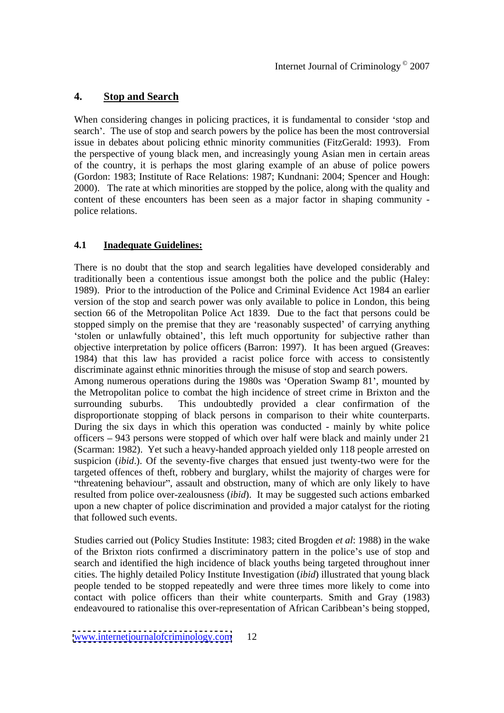# **4. Stop and Search**

When considering changes in policing practices, it is fundamental to consider 'stop and search'. The use of stop and search powers by the police has been the most controversial issue in debates about policing ethnic minority communities (FitzGerald: 1993). From the perspective of young black men, and increasingly young Asian men in certain areas of the country, it is perhaps the most glaring example of an abuse of police powers (Gordon: 1983; Institute of Race Relations: 1987; Kundnani: 2004; Spencer and Hough: 2000). The rate at which minorities are stopped by the police, along with the quality and content of these encounters has been seen as a major factor in shaping community police relations.

#### **4.1 Inadequate Guidelines:**

There is no doubt that the stop and search legalities have developed considerably and traditionally been a contentious issue amongst both the police and the public (Haley: 1989). Prior to the introduction of the Police and Criminal Evidence Act 1984 an earlier version of the stop and search power was only available to police in London, this being section 66 of the Metropolitan Police Act 1839. Due to the fact that persons could be stopped simply on the premise that they are 'reasonably suspected' of carrying anything 'stolen or unlawfully obtained', this left much opportunity for subjective rather than objective interpretation by police officers (Barron: 1997). It has been argued (Greaves: 1984) that this law has provided a racist police force with access to consistently discriminate against ethnic minorities through the misuse of stop and search powers. Among numerous operations during the 1980s was 'Operation Swamp 81', mounted by the Metropolitan police to combat the high incidence of street crime in Brixton and the surrounding suburbs. This undoubtedly provided a clear confirmation of the disproportionate stopping of black persons in comparison to their white counterparts. During the six days in which this operation was conducted - mainly by white police officers 943 persons were stopped of which over half were black and mainly under 21 (Scarman: 1982). Yet such a heavy-handed approach yielded only 118 people arrested on

suspicion (*ibid*.). Of the seventy-five charges that ensued just twenty-two were for the targeted offences of theft, robbery and burglary, whilst the majority of charges were for "threatening behaviour", assault and obstruction, many of which are only likely to have resulted from police over-zealousness (*ibid*). It may be suggested such actions embarked upon a new chapter of police discrimination and provided a major catalyst for the rioting that followed such events.

Studies carried out (Policy Studies Institute: 1983; cited Brogden *et al*: 1988) in the wake of the Brixton riots confirmed a discriminatory pattern in the police's use of stop and search and identified the high incidence of black youths being targeted throughout inner cities. The highly detailed Policy Institute Investigation (*ibid*) illustrated that young black people tended to be stopped repeatedly and were three times more likely to come into contact with police officers than their white counterparts. Smith and Gray (1983) endeavoured to rationalise this over-representation of African Caribbean's being stopped,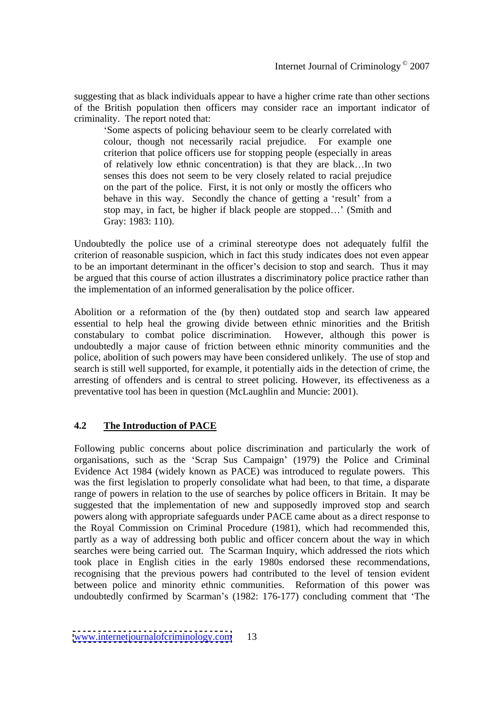suggesting that as black individuals appear to have a higher crime rate than other sections of the British population then officers may consider race an important indicator of criminality. The report noted that:

Some aspects of policing behaviour seem to be clearly correlated with colour, though not necessarily racial prejudice. For example one criterion that police officers use for stopping people (especially in areas of relatively low ethnic concentration) is that they are black...In two senses this does not seem to be very closely related to racial prejudice on the part of the police. First, it is not only or mostly the officers who behave in this way. Secondly the chance of getting a 'result' from a stop may, in fact, be higher if black people are stopped...' (Smith and Gray: 1983: 110).

Undoubtedly the police use of a criminal stereotype does not adequately fulfil the criterion of reasonable suspicion, which in fact this study indicates does not even appear to be an important determinant in the officer's decision to stop and search. Thus it may be argued that this course of action illustrates a discriminatory police practice rather than the implementation of an informed generalisation by the police officer.

Abolition or a reformation of the (by then) outdated stop and search law appeared essential to help heal the growing divide between ethnic minorities and the British constabulary to combat police discrimination. However, although this power is undoubtedly a major cause of friction between ethnic minority communities and the police, abolition of such powers may have been considered unlikely. The use of stop and search is still well supported, for example, it potentially aids in the detection of crime, the arresting of offenders and is central to street policing. However, its effectiveness as a preventative tool has been in question (McLaughlin and Muncie: 2001).

#### **4.2 The Introduction of PACE**

Following public concerns about police discrimination and particularly the work of organisations, such as the 'Scrap Sus Campaign' (1979) the Police and Criminal Evidence Act 1984 (widely known as PACE) was introduced to regulate powers. This was the first legislation to properly consolidate what had been, to that time, a disparate range of powers in relation to the use of searches by police officers in Britain. It may be suggested that the implementation of new and supposedly improved stop and search powers along with appropriate safeguards under PACE came about as a direct response to the Royal Commission on Criminal Procedure (1981), which had recommended this, partly as a way of addressing both public and officer concern about the way in which searches were being carried out. The Scarman Inquiry, which addressed the riots which took place in English cities in the early 1980s endorsed these recommendations, recognising that the previous powers had contributed to the level of tension evident between police and minority ethnic communities. Reformation of this power was undoubtedly confirmed by Scarman's (1982: 176-177) concluding comment that 'The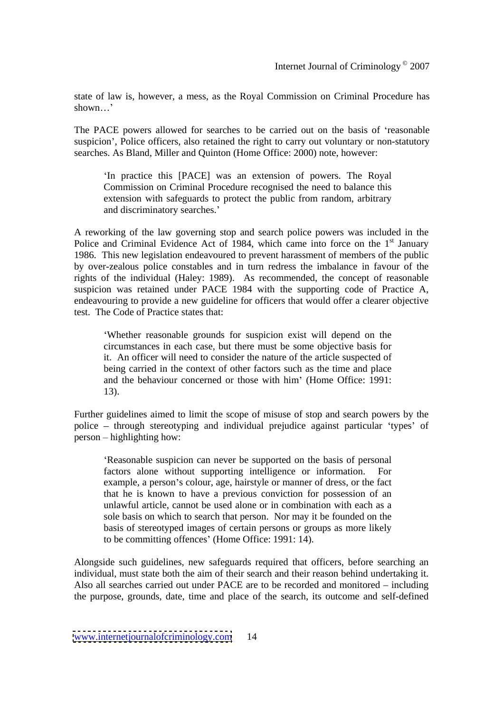state of law is, however, a mess, as the Royal Commission on Criminal Procedure has shown...'

The PACE powers allowed for searches to be carried out on the basis of reasonable suspicion', Police officers, also retained the right to carry out voluntary or non-statutory searches. As Bland, Miller and Quinton (Home Office: 2000) note, however:

In practice this [PACE] was an extension of powers. The Royal Commission on Criminal Procedure recognised the need to balance this extension with safeguards to protect the public from random, arbitrary and discriminatory searches.

A reworking of the law governing stop and search police powers was included in the Police and Criminal Evidence Act of 1984, which came into force on the 1<sup>st</sup> January st January 1986. This new legislation endeavoured to prevent harassment of members of the public by over-zealous police constables and in turn redress the imbalance in favour of the rights of the individual (Haley: 1989). As recommended, the concept of reasonable suspicion was retained under PACE 1984 with the supporting code of Practice A, endeavouring to provide a new guideline for officers that would offer a clearer objective test. The Code of Practice states that:

Whether reasonable grounds for suspicion exist will depend on the circumstances in each case, but there must be some objective basis for it. An officer will need to consider the nature of the article suspected of being carried in the context of other factors such as the time and place and the behaviour concerned or those with him' (Home Office: 1991: 13).

Further guidelines aimed to limit the scope of misuse of stop and search powers by the police - through stereotyping and individual prejudice against particular 'types' of  $person - highlighting how:$ 

Reasonable suspicion can never be supported on the basisof personal factors alone without supporting intelligence or information. For example, a person's colour, age, hairstyle or manner of dress, or the fact that he is known to have a previous conviction for possession of an unlawful article, cannot be used alone or in combination with each as a sole basis on which to search that person. Nor may it be founded on the basis of stereotyped images of certain persons or groups as more likely to be committing offences' (Home Office: 1991: 14).

Alongside such guidelines, new safeguards required that officers, before searching an individual, must state both the aim of their search and their reason behind undertaking it. Also all searches carried out under PACE are to be recorded and monitored  $-$  including the purpose, grounds, date, time and place of the search, its outcome and self-defined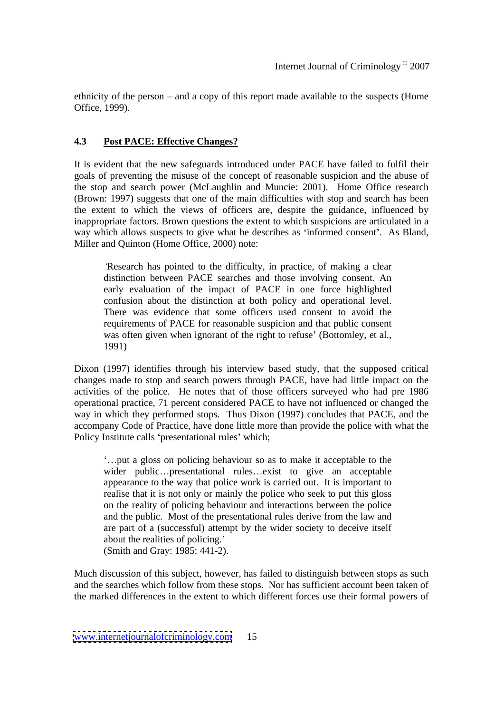ethnicity of the person  $-$  and a copy of this report made available to the suspects (Home Office, 1999).

#### **4.3 Post PACE: Effective Changes?**

It is evident that the new safeguards introduced under PACE have failed to fulfil their goals of preventing the misuse of the concept of reasonable suspicion and the abuse of the stop and search power (McLaughlin and Muncie: 2001). Home Office research (Brown: 1997) suggests that one of the main difficulties with stop and search has been the extent to which the views of officers are, despite the guidance, influenced by inappropriate factors. Brown questions the extent to which suspicions are articulated in a way which allows suspects to give what he describes as 'informed consent'. As Bland, Miller and Quinton (Home Office, 2000) note:

Research has pointed to the difficulty, in practice, of making a clear distinction between PACE searches and those involving consent. An early evaluation of the impact of PACE in one force highlighted confusion about the distinction at both policy and operational level. There was evidence that some officers used consent to avoid the requirements of PACE for reasonable suspicion and that public consent was often given when ignorant of the right to refuse' (Bottomley, et al., 1991)

Dixon (1997) identifies through his interview based study, that the supposed critical changes made to stop and search powers through PACE, have had little impact on the activities of the police. He notes that of those officers surveyed who had pre 1986 operational practice, 71 percent considered PACE to have not influenced or changed the way in which they performed stops. Thus Dixon (1997) concludes that PACE, and the accompany Code of Practice, have done little more than provide the police with what the Policy Institute calls 'presentational rules' which;

put a gloss on policing behaviour so as to make it acceptable to the wider public...presentational rules...exist to give an acceptable appearance to the way that police work is carried out. It is important to realise that it is not only or mainly the police who seek to put this gloss on the reality of policing behaviour and interactions between the police and the public. Most of the presentational rules derive from the law and are part of a (successful) attempt by the wider society to deceive itself about the realities of policing. (Smith and Gray: 1985: 441-2).

Much discussion of this subject, however, has failed to distinguish between stops as such and the searches which follow from these stops. Nor has sufficient account been taken of the marked differences in the extent to which different forces use their formal powers of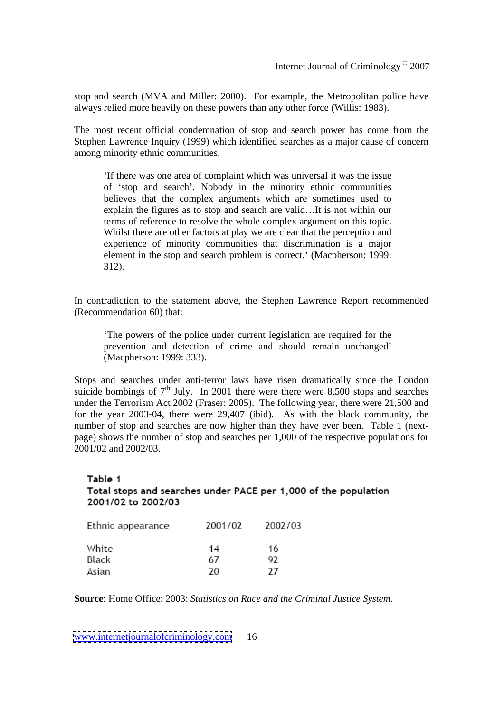stop and search (MVA and Miller: 2000). For example, the Metropolitan police have always relied more heavily on these powers than any other force (Willis: 1983).

The most recent official condemnation of stop and search power has come from the Stephen Lawrence Inquiry (1999) which identified searches as amajor cause of concern among minority ethnic communities.

If there was one area of complaint which was universal it was the issue of 'stop and search'. Nobody in the minority ethnic communities believes that the complex arguments which are sometimes used to explain the figures as to stop and search are valid...It is not within our terms of reference to resolve the whole complex argument on this topic. Whilst there are other factors at play we are clear that the perception and experience of minority communities that discrimination is a major element in the stop and search problem is correct.' (Macpherson: 1999: 312).

In contradiction to the statement above, the Stephen Lawrence Report recommended (Recommendation 60) that:

The powers of the police under current legislation are required for the prevention and detection of crime and should remain unchanged (Macpherson: 1999: 333).

Stops and searches under anti-terror laws have risen dramatically since the London suicide bombings of  $7<sup>th</sup>$  July. In 2001 there were there were 8,500 stops and searches under the Terrorism Act 2002 (Fraser: 2005). The following year, there were 21,500 and for the year 2003-04, there were 29,407 (ibid). As with the black community, the number of stop and searches are now higher than they have ever been. Table 1 (next page) shows the number of stop and searches per 1,000 of the respective populations for 2001/02 and 2002/03.

#### Table 1 Total stops and searches under PACE per 1,000 of the population 2001/02 to 2002/03

| Ethnic appearance | 2001/02 | 2002/03 |
|-------------------|---------|---------|
| White             | 14      | 16      |
| Black             | 67      | 97      |
| Asian             | 20      |         |

**Source**: Home Office: 2003: *Statistics on Race and the Criminal Justice System*.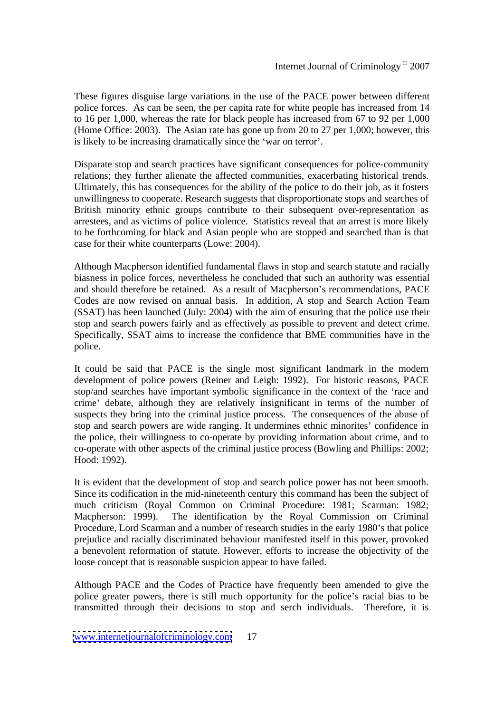These figures disguise large variations in the use of the PACE power between different police forces. As can be seen, the per capita rate for white people has increased from 14 to 16 per 1,000, whereas the rate for black people has increased from 67 to 92 per 1,000 (Home Office: 2003). The Asian rate has gone up from 20 to 27 per 1,000; however, this is likely to be increasing dramatically since the 'war on terror'.

Disparate stop and search practices have significant consequences for police-community relations; they further alienate the affected communities, exacerbating historical trends. Ultimately, this has consequences for the ability of the police to do their job, as it fosters unwillingness to cooperate. Research suggests that disproportionate stops and searches of British minority ethnic groups contribute to their subsequent over-representation as arrestees, and as victims of police violence. Statistics reveal that an arrest is more likely to be forthcoming for black and Asian people who are stopped and searched than is that case for their white counterparts (Lowe: 2004).

Although Macpherson identified fundamental flaws in stop and search statute and racially biasness in police forces, nevertheless he concluded that such an authority was essential and should therefore be retained. As a result of Macpherson's recommendations, PACE Codes are now revised on annual basis. In addition, A stop and Search Action Team (SSAT) has been launched (July: 2004) with the aim of ensuring that the police use their stop and search powers fairly and as effectively as possible to prevent and detect crime. Specifically, SSAT aims to increase the confidence that BME communities have in the police.

It could be said that PACE is the single most significant landmark in the modern development of police powers (Reiner and Leigh: 1992). For historic reasons, PACE stop/and searches have important symbolic significance in the context of the 'race and crime' debate, although they are relatively insignificant in terms of the number of suspects they bring into the criminal justice process. The consequences of the abuse of stop and search powers are wide ranging. It undermines ethnic minorites' confidence in the police, their willingness to co-operate by providing information about crime, and to co-operate with other aspects of the criminal justice process (Bowling and Phillips: 2002; Hood: 1992).

It is evident that the development of stop and search police power has not been smooth. Since its codification in the mid-nineteenth century this command has been the subject of much criticism (Royal Common on Criminal Procedure: 1981; Scarman: 1982; Macpherson: 1999). The identification by the Royal Commission on Criminal Procedure, Lord Scarman and a number of research studies in the early 1980's that police prejudice and racially discriminated behaviour manifested itself in this power, provoked a benevolent reformation of statute. However, efforts to increase the objectivity of the loose concept that is reasonable suspicion appear to have failed.

Although PACE and the Codes of Practice have frequently been amended to give the police greater powers, there is still much opportunity for the police's racial bias to be transmitted through their decisions to stop and serch individuals. Therefore, it is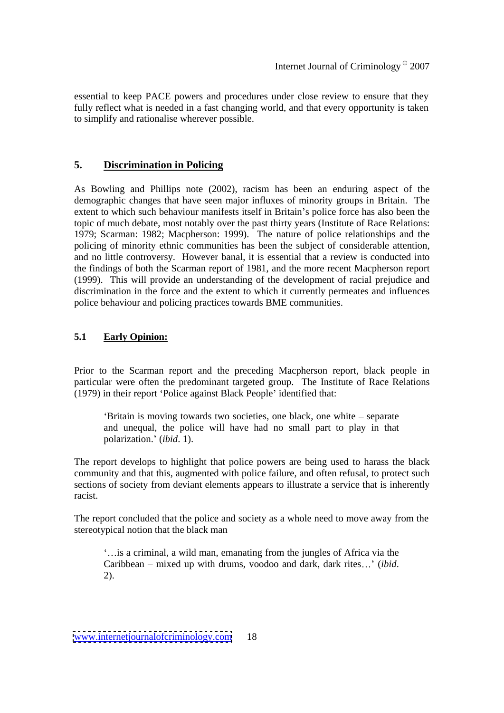essential to keep PACE powers and procedures under close review to ensure that they fully reflect what is needed in a fast changing world, and that every opportunity is taken to simplify and rationalise wherever possible.

# **5. Discrimination in Policing**

As Bowling and Phillips note (2002), racism has been an enduring aspect of the demographic changes that have seen major influxes of minority groups in Britain. The extent to which such behaviour manifests itself in Britain's police force has also been the topic of much debate, most notably over the past thirty years (Institute of Race Relations: 1979; Scarman: 1982; Macpherson: 1999). The nature of police relationships and the policing of minority ethnic communities has been the subject of considerable attention, and no little controversy. However banal, it is essential that a review is conducted into the findings of both the Scarman report of 1981, and the more recent Macpherson report (1999). This will provide an understanding of the development of racial prejudice and discrimination in the force and the extent to which it currently permeates and influences police behaviour and policing practices towards BME communities.

#### **5.1 Early Opinion:**

Prior to the Scarman report and the preceding Macpherson report, black people in particular were often the predominant targeted group. The Institute of Race Relations (1979) in their report 'Police against Black People' identified that:

'Britain is moving towards two societies, one black, one white – separate and unequal, the police will have had no small part to play in that polarization.' *(ibid. 1)*.

The report develops to highlight that police powers are being used to harass the black community and that this, augmented with police failure, and often refusal, to protect such sections of society from deviant elements appears to illustrate a service that is inherently racist.

The report concluded that the police and society as a whole need to move away from the stereotypical notion that the black man

is a criminal, a wild man, emanating from the jungles of Africa via the Caribbean – mixed up with drums, voodoo and dark, dark rites...' (*ibid*. 2).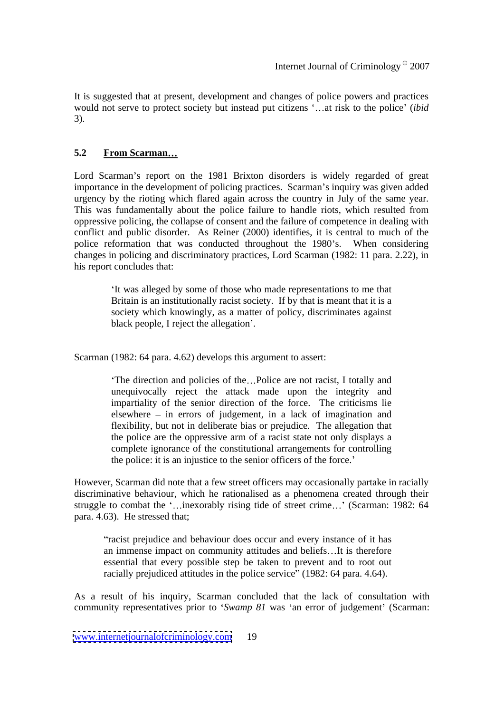It is suggested that at present, development and changes of police powers and practices would not serve to protect society but instead put citizens '...at risk to the police' (*ibid*) 3).

#### **5.2 From Scarman**

Lord Scarman's report on the 1981 Brixton disorders is widely regarded of great importance in the development of policing practices. Scarman's inquiry was given added urgency by the rioting which flared again across the country in July of the same year. This was fundamentally about the police failure to handle riots, which resulted from oppressive policing, the collapse of consent and the failure of competence in dealing with conflict and public disorder. As Reiner (2000) identifies, it is central to much of the police reformation that was conducted throughout the 1980's. When considering changes in policing and discriminatory practices, Lord Scarman (1982: 11 para. 2.22), in his report concludes that:

> It was alleged by some of those who made representations to me that Britain is an institutionally racist society. If by that is meant that it is a society which knowingly, as a matter of policy, discriminates against black people, I reject the allegation'.

Scarman (1982: 64 para. 4.62) develops this argument to assert:

The direction and policies of the...Police are not racist, I totally and unequivocally reject the attack made upon the integrity and impartiality of the senior direction of the force. The criticisms lie elsewhere  $-$  in errors of judgement, in a lack of imagination and flexibility, but not in deliberate bias or prejudice. The allegation that the police are the oppressive arm of a racist state not only displays a complete ignorance of the constitutional arrangements for controlling the police: it is an injustice to the senior officers of the force.

However, Scarman did note that a few street officers may occasionally partake in racially discriminative behaviour, which he rationalised as a phenomena created through their struggle to combat the '...inexorably rising tide of street crime...' (Scarman: 1982:  $64$ ) para. 4.63). He stressed that;

"racist prejudice and behaviour does occur and every instance of it has an immense impact on community attitudes and beliefs...It is therefore essential that every possible step be taken to prevent and to root out racially prejudiced attitudes in the police service" (1982: 64 para. 4.64).

As a result of his inquiry, Scarman concluded that the lack of consultation with community representatives prior to 'Swamp 81 was 'an error of judgement' (Scarman: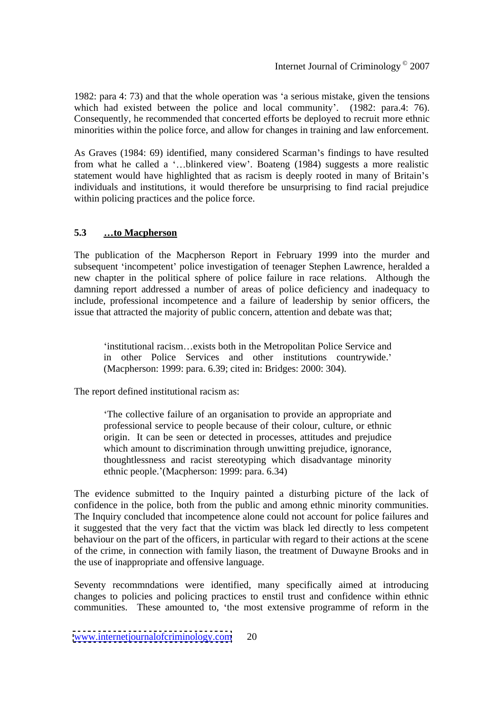1982: para 4: 73) and that the whole operation was 'a serious mistake, given the tensions which had existed between the police and local community'. (1982: para.4: 76). Consequently, he recommended that concerted efforts be deployed to recruit more ethnic minorities within the police force, and allow for changes in training and law enforcement.

As Graves (1984: 69) identified, many considered Scarman's findings to have resulted from what he called a '...blinkered view'. Boateng (1984) suggests a more realistic statement would have highlighted that as racism is deeply rooted in many of Britain's individuals and institutions, it would therefore be unsurprising to find racial prejudice within policing practices and the police force.

#### **5.3 to Macpherson**

The publication of the Macpherson Report in February 1999 into the murder and subsequent 'incompetent' police investigation of teenager Stephen Lawrence, heralded a new chapter in the political sphere of police failure in race relations. Although the damning report addressed a number of areas of police deficiency and inadequacy to include, professional incompetence and a failure of leadership by senior officers, the issue that attracted the majority of public concern, attention and debate was that;

'institutional racism...exists both in the Metropolitan Police Service and in other Police Services and other institutions countrywide. (Macpherson: 1999: para. 6.39; cited in: Bridges: 2000: 304).

The report defined institutional racism as:

The collective failure of an organisation to provide an appropriate and professional service to people because of their colour, culture, or ethnic origin. It can be seen or detected in processes, attitudes and prejudice which amount to discrimination through unwitting prejudice, ignorance, thoughtlessness and racist stereotyping which disadvantage minority ethnic people. (Macpherson: 1999: para. 6.34)

The evidence submitted to the Inquiry painted a disturbing picture of the lack of confidence in the police, both from the public and among ethnic minority communities. The Inquiry concluded that incompetence alone could not account for police failures and it suggested that the very fact that the victim was black led directly to less competent behaviour on the part of the officers, in particular with regard to their actions at the scene of the crime, in connection with family liason, the treatment of Duwayne Brooks and in the use of inappropriate and offensive language.

Seventy recommndations were identified, many specifically aimed at introducing changes to policies and policing practices to enstil trust and confidence within ethnic communities. These amounted to, the most extensive programme of reform in the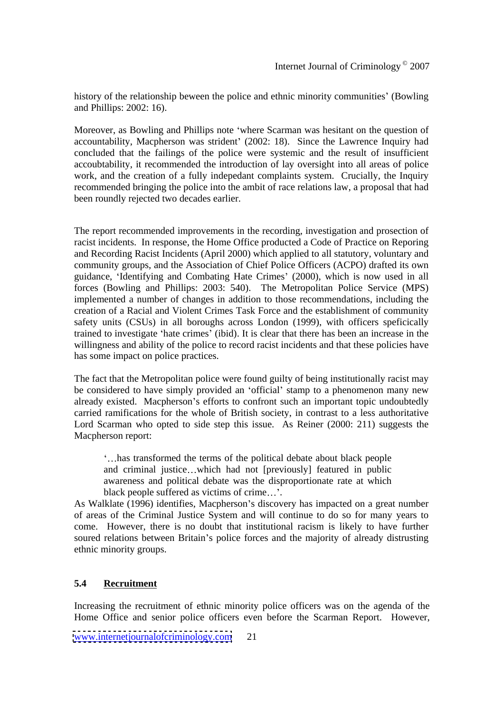history of the relationship beween the police and ethnic minority communities' (Bowling and Phillips: 2002: 16).

Moreover, as Bowling and Phillips note 'where Scarman was hesitant on the question of accountability, Macpherson was strident' (2002: 18). Since the Lawrence Inquiry had concluded that the failings of the police were systemic and the result of insufficient accoubtability, it recommended the introduction of lay oversight into all areas of police work, and the creation of a fully indepedant complaints system. Crucially, the Inquiry recommended bringing the police into the ambit of race relations law, a proposal that had been roundly rejected two decades earlier.

The report recommended improvements in the recording, investigation and prosection of racist incidents. In response, the Home Office producted a Code of Practice on Reporing and Recording Racist Incidents (April 2000) which applied to all statutory, voluntary and community groups, and the Association of Chief Police Officers (ACPO) drafted its own guidance, 'Identifying and Combating Hate Crimes' (2000), which is now used in all forces (Bowling and Phillips: 2003: 540). The Metropolitan Police Service (MPS) implemented a number of changes in addition to those recommendations, including the creation of a Racial and Violent Crimes Task Force and the establishment of community safety units (CSUs) in all boroughs across London (1999), with officers speficically trained to investigate 'hate crimes' (ibid). It is clear that there has been an increase in the willingness and ability of the police to record racist incidents and that these policies have has some impact on police practices.

The fact that the Metropolitan police were found guilty of being institutionally racist may be considered to have simply provided an 'official' stamp to a phenomenon many new already existed. Macpherson's efforts to confront such an important topic undoubtedly carried ramifications for the whole of British society, in contrast to a less authoritative Lord Scarman who opted to side step this issue. As Reiner (2000: 211) suggests the Macpherson report:

has transformed the terms of the political debate about black people and criminal justice...which had not  $[previously]$  featured in public awareness and political debate was the disproportionate rate at which black people suffered as victims of crime...'.

As Walklate (1996) identifies, Macpherson's discovery has impacted on a great number of areas of the Criminal Justice System and will continue to do so for many years to come. However, there is no doubt that institutional racism is likely to have further soured relations between Britain's police forces and the majority of already distrusting ethnic minority groups.

#### **5.4 Recruitment**

Increasing the recruitment of ethnic minority police officers was on the agenda of the Home Office and senior police officers even before the Scarman Report. However,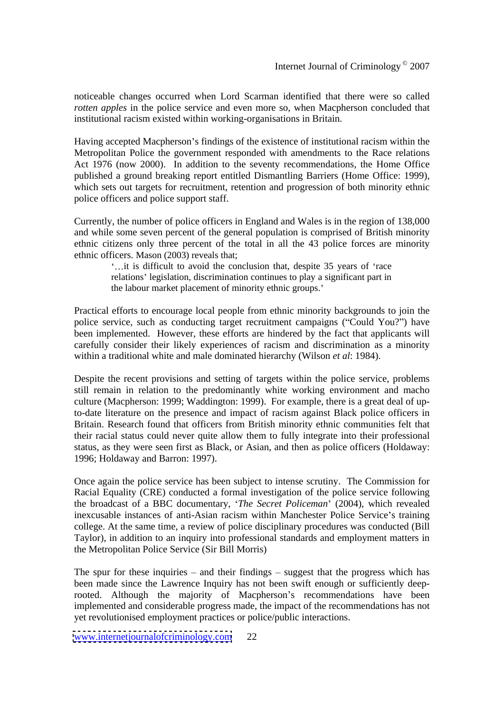noticeable changes occurred when Lord Scarman identified that there were so called *rotten apples* in the police service and even more so, when Macpherson concluded that institutional racism existed within working-organisations in Britain.

Having accepted Macpherson's findings of the existence of institutional racism within the Metropolitan Police the government responded with amendments to the Race relations Act 1976 (now 2000). In addition to the seventy recommendations, the Home Office published a ground breaking report entitled Dismantling Barriers (Home Office: 1999), which sets out targets for recruitment, retention and progression of both minority ethnic police officers and police support staff.

Currently, the number of police officers in England and Wales is in the region of 138,000 and while some seven percent of the general population is comprised of British minority ethnic citizens only three percent of the total in all the 43 police forces are minority ethnic officers. Mason (2003) reveals that;

> i... it is difficult to avoid the conclusion that, despite 35 years of 'race' relations' legislation, discrimination continues to play a significant part in the labour market placement of minority ethnic groups.

Practical efforts to encourage local people from ethnic minority backgrounds to join the police service, such as conducting target recruitment campaigns ("Could You?") have been implemented. However, these efforts are hindered by the fact that applicants will carefully consider their likely experiences of racism and discrimination as a minority within a traditional white and male dominated hierarchy (Wilson *et al*: 1984).

Despite the recent provisions and setting of targets within the police service, problems still remain in relation to the predominantly white working environment and macho culture (Macpherson: 1999; Waddington: 1999). For example, there is a great deal of upto-date literature on the presence and impact of racism against Black police officers in Britain. Research found that officers from British minority ethnic communities felt that their racial status could never quite allow them to fully integrate into their professional status, as they were seen first as Black, or Asian, and then as police officers (Holdaway: 1996; Holdaway and Barron: 1997).

Once again the police service has been subject to intense scrutiny. The Commission for Racial Equality (CRE) conducted a formal investigation of the police service following the broadcast of a BBC documentary, *The Secret Policeman* (2004), which revealed inexcusable instances of anti-Asian racism within Manchester Police Service's training college. At the same time, a review of police disciplinary procedures was conducted (Bill Taylor), in addition to an inquiry into professional standards and employment matters in the Metropolitan Police Service (Sir Bill Morris)

The spur for these inquiries  $-$  and their findings  $-$  suggest that the progress which has been made since the Lawrence Inquiry has not been swift enough or sufficiently deeprooted. Although the majority of Macpherson's recommendations have been implemented and considerable progress made, the impact of the recommendations has not yet revolutionised employment practices or police/public interactions.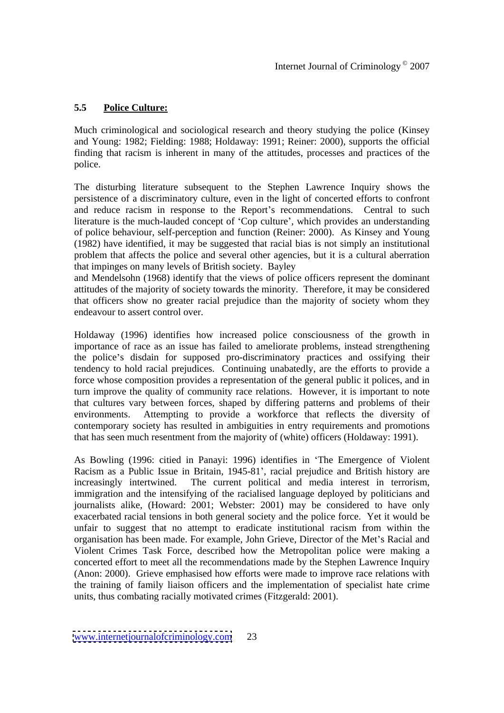#### **5.5 Police Culture:**

Much criminological and sociological research and theory studying the police (Kinsey and Young: 1982; Fielding: 1988; Holdaway: 1991; Reiner: 2000), supports the official finding that racism is inherent in many of the attitudes, processes and practices of the police.

The disturbing literature subsequent to the Stephen Lawrence Inquiry shows the persistence of a discriminatory culture, even in the light of concerted efforts to confront and reduce racism in response to the Report's recommendations. Central to such literature is the much-lauded concept of 'Cop culture', which provides an understanding of police behaviour, self-perception and function (Reiner: 2000). As Kinsey and Young (1982) have identified, it may be suggested that racial bias is not simply an institutional problem that affects the police and several other agencies, but it is a cultural aberration that impinges on many levels of British society. Bayley

and Mendelsohn (1968) identify that the views of police officers represent the dominant attitudes of the majority of society towards the minority. Therefore, it may be considered that officers show no greater racial prejudice than the majority of society whom they endeavour to assert control over.

Holdaway (1996) identifies how increased police consciousness of the growth in importance of race as an issue has failed to ameliorate problems, instead strengthening the police's disdain for supposed pro-discriminatory practices and ossifying their tendency to hold racial prejudices. Continuing unabatedly, are the efforts to provide a force whose composition provides a representation of the general public it polices, and in turn improve the quality of community race relations. However, it is important to note that cultures vary between forces, shaped by differing patterns and problems of their environments. Attempting to provide a workforce that reflects the diversity of contemporary society has resulted in ambiguities in entry requirements and promotions that has seen much resentment from the majority of (white) officers (Holdaway: 1991).

As Bowling (1996: citied in Panayi: 1996) identifies in The Emergence of Violent Racism as a Public Issue in Britain, 1945-81 , racial prejudice and British history are increasingly intertwined. The current political and media interest in terrorism, immigration and the intensifying of the racialised language deployed by politicians and journalists alike, (Howard: 2001; Webster: 2001) may be considered to have only exacerbated racial tensions in both general society and the police force. Yet it would be unfair to suggest that no attempt to eradicate institutional racism from within the organisation has been made. For example, John Grieve, Director of the Met's Racial and Violent Crimes Task Force, described how the Metropolitan police were making a concerted effort to meet all the recommendations made by the Stephen Lawrence Inquiry (Anon: 2000). Grieve emphasised how efforts were made to improve race relations with the training of family liaison officers and the implementation of specialist hate crime units, thus combating racially motivated crimes (Fitzgerald: 2001).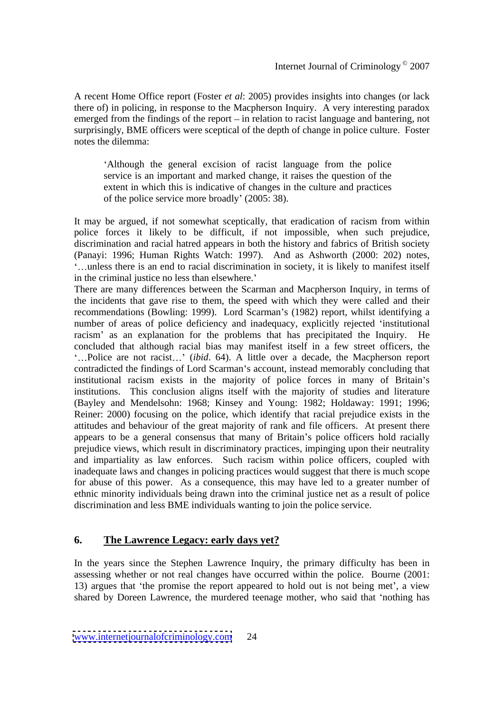A recent Home Office report (Foster *et al*: 2005) provides insights into changes (or lack there of) in policing, in response to the Macpherson Inquiry. A very interesting paradox emerged from the findings of the report  $-\text{ in}$  relation to racist language and bantering, not surprisingly, BME officers were sceptical of the depth of change in police culture. Foster notes the dilemma:

Although the general excision of racist language from the police service is an important and marked change, it raises the question of the extent in which this is indicative of changes in the culture and practices of the police service more broadly' (2005: 38).

It may be argued, if not somewhat sceptically, that eradication of racism from within police forces it likely to be difficult, if not impossible, when such prejudice, discrimination and racial hatred appears in both the history and fabrics of British society (Panayi: 1996; Human Rights Watch: 1997). And as Ashworth (2000: 202) notes, unless there is an end to racial discrimination in society, it is likely to manifest itself in the criminal justice no less than elsewhere.'

There are many differences between the Scarman and Macpherson Inquiry, in terms of the incidents that gave rise to them, the speed with which they were called and their recommendations (Bowling: 1999). Lord Scarman's (1982) report, whilst identifying a number of areas of police deficiency and inadequacy, explicitly rejected 'institutional racism' as an explanation for the problems that has precipitated the Inquiry. He concluded that although racial bias may manifest itself in a few street officers, the '...Police are not racist...' *(ibid.* 64). A little over a decade, the Macpherson report contradicted the findings of Lord Scarman's account, instead memorably concluding that institutional racism exists in the majority of police forces in many of Britain's institutions. This conclusion aligns itself with the majority of studies and literature (Bayley and Mendelsohn: 1968; Kinsey and Young: 1982; Holdaway: 1991; 1996; Reiner: 2000) focusing on the police, which identify that racial prejudice exists in the attitudes and behaviour of the great majority of rank and file officers. At present there appears to be a general consensus that many of Britain's police officers hold racially prejudice views, which result in discriminatory practices, impinging upon their neutrality and impartiality as law enforces. Such racism within police officers, coupled with inadequate laws and changes in policing practices would suggest that there is much scope for abuse of this power. As a consequence, this may have led to a greater number of ethnic minority individuals being drawn into the criminal justice net as a result of police discrimination and less BME individuals wanting to join the police service.

#### **6. The Lawrence Legacy: early days yet?**

In the years since the Stephen Lawrence Inquiry, the primary difficulty hasbeen in assessing whether or not real changes have occurred within the police. Bourne (2001: 13) argues that 'the promise the report appeared to hold out is not being met', a view shared by Doreen Lawrence, the murdered teenage mother, who said that 'nothing has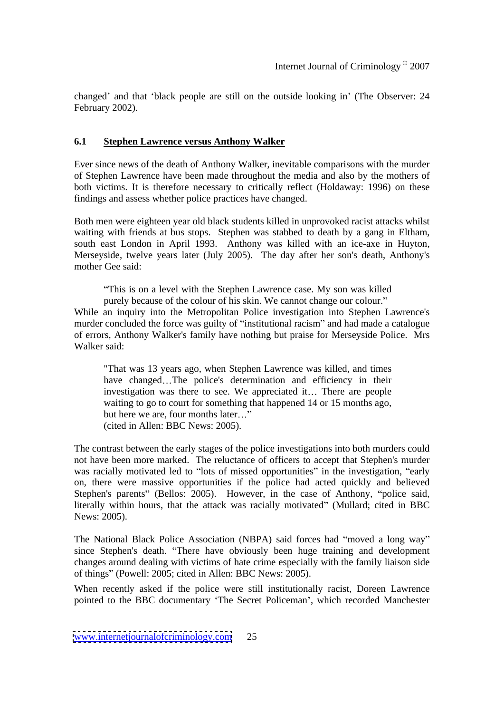changed' and that 'black people are still on the outside looking in' (The Observer: 24 February 2002).

#### **6.1 Stephen Lawrence versus Anthony Walker**

Ever since news of the death of Anthony Walker, inevitable comparisons with the murder of Stephen Lawrence have been made throughout the media and also by the mothers of both victims. It is therefore necessary to critically reflect (Holdaway: 1996) on these findings and assess whether police practices have changed.

Both men were eighteen year old black students killed in unprovoked racist attacks whilst waiting with friends at bus stops. Stephen was stabbed to death by a gang in Eltham, south east London in April 1993. Anthony was killed with an ice-axe in Huyton, Merseyside, twelve years later (July 2005). The day after her son's death, Anthony's mother Gee said:  $\blacksquare$ 

This is on a level with the Stephen Lawrence case. My son was killed purely because of the colour of his skin. We cannot change our colour. While an inquiry into the Metropolitan Police investigation into Stephen Lawrence's murder concluded the force was guilty of "institutional racism" and had made a catalogue of errors, Anthony Walker's family have nothing but praise for Merseyside Police. Mrs

Walker said: "That was <sup>13</sup> years ago, when Stephen Lawrence was killed, and times have changed...The police's determination and efficiency in their investigation was there to see. We appreciated it... There are people waiting to go to court for something that happened 14 or 15 months ago, but here we are, four months later..." (cited in Allen: BBC News: 2005).

The contrast between the early stages of the police investigations into both murders could not have been more marked. The reluctance of officers to accept that Stephen's murder was racially motivated led to "lots of missed opportunities" in the investigation, "early on, there were massive opportunities if the police had acted quickly and believed Stephen's parents" (Bellos: 2005). However, in the case of Anthony, "police said, literally within hours, that the attack was racially motivated" (Mullard; cited in BBC News: 2005).

The National Black Police Association (NBPA) said forces had "moved a long way" since Stephen's death. "There have obviously been huge training and development changes around dealing with victims of hate crime especially with the family liaison side of things" (Powell: 2005; cited in Allen: BBC News: 2005).

When recently asked if the police were still institutionally racist, Doreen Lawrence pointed to the BBC documentary 'The Secret Policeman', which recorded Manchester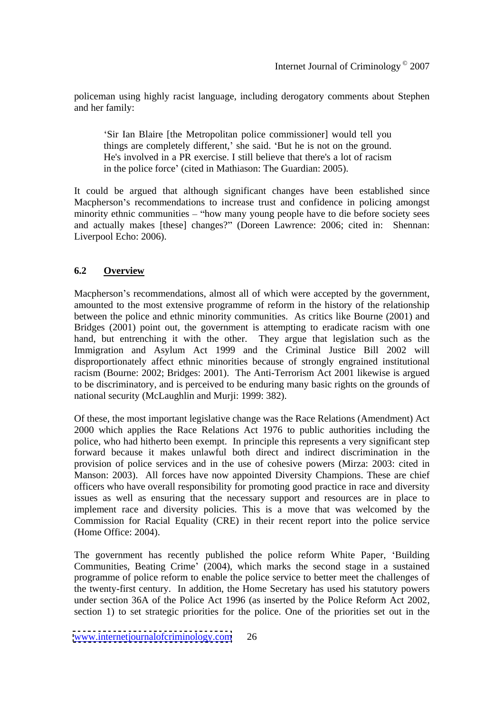policeman using highly racist language, including derogatory comments about Stephen and her family:

Sir Ian Blaire [the Metropolitan police commissioner] would tell you things are completely different,' she said. 'But he is not on the ground. He's involved in a PR exercise. I still believe that there's a lot of racism in the police force' (cited in Mathiason: The Guardian: 2005).

It could be argued that although significant changes have been established since Macpherson's recommendations to increase trust and confidence in policing amongst minority ethnic communities  $-$  "how many young people have to die before society sees and actually makes [these] changes?" (Doreen Lawrence: 2006; cited in: Shennan: Liverpool Echo: 2006).

#### **6.2 Overview**

Macpherson's recommendations, almost all of which were accepted by the government, amounted to the most extensive programme of reform in the history of the relationship between the police and ethnic minority communities. As critics like Bourne (2001) and Bridges (2001) point out, the government is attempting to eradicate racism with one hand, but entrenching it with the other. They argue that legislation such as the Immigration and Asylum Act 1999 and the Criminal Justice Bill 2002 will disproportionately affect ethnic minorities because of strongly engrained institutional racism (Bourne: 2002; Bridges: 2001). The Anti-Terrorism Act 2001 likewise is argued to be discriminatory, and is perceived to be enduring many basic rights on the grounds of national security (McLaughlin and Murji: 1999: 382).

Of these, the most important legislative change was the Race Relations (Amendment) Act 2000 which applies the Race Relations Act 1976 to public authorities including the police, who had hitherto been exempt. In principle this represents a very significant step forward because it makes unlawful both direct and indirect discrimination in the provision of police services and in the use of cohesive powers (Mirza: 2003: cited in Manson: 2003). All forces have now appointed Diversity Champions. These are chief officers who have overall responsibility for promoting good practice in race and diversity issues as well as ensuring that the necessary support and resources are in place to implement race and diversity policies. This is a move that was welcomed by the Commission for Racial Equality (CRE) in their recent report into the police service (Home Office: 2004).

The government has recently published the police reform White Paper, Building Communities, Beating Crime' (2004), which marks the second stage in a sustained programme of police reform to enable the police service to better meet the challenges of the twenty-first century. In addition, the Home Secretary has used his statutory powers under section 36A of the Police Act 1996 (as inserted by the Police Reform Act 2002, section 1) to set strategic priorities for the police. One of the priorities set out in the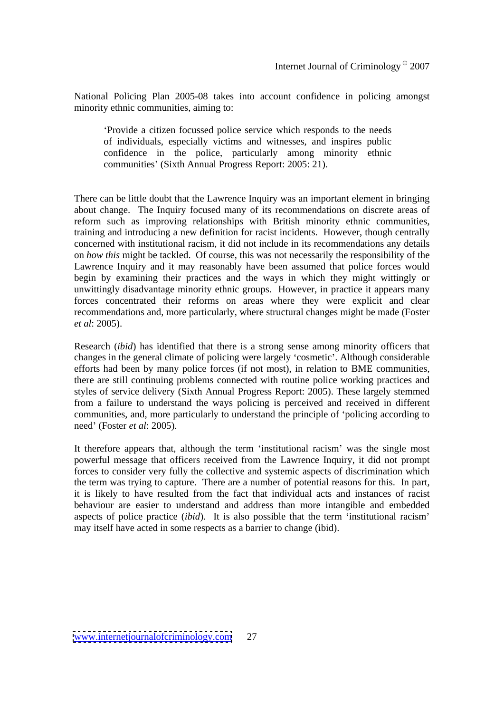National Policing Plan 2005-08 takes into account confidence in policing amongst minority ethnic communities, aiming to:

Provide a citizen focussed police servicewhich responds to the needs of individuals, especially victims and witnesses, and inspires public confidence in the police, particularly among minority ethnic communities (Sixth Annual Progress Report: 2005: 21).

There can be little doubt that the Lawrence Inquiry was an important element in bringing about change. The Inquiry focused many of its recommendations on discrete areas of reform such as improving relationships with British minority ethnic communities, training and introducing a new definition for racist incidents. However, though centrally concerned with institutional racism, it did not include in its recommendations any details on *how this* might be tackled. Of course, this was not necessarily the responsibility of the Lawrence Inquiry and it may reasonably have been assumed that police forces would begin by examining their practices and the ways in which they might wittingly or unwittingly disadvantage minority ethnic groups. However, in practice it appears many forces concentrated their reforms on areas where they were explicit and clear recommendations and, more particularly, where structural changes might be made (Foster *et al*: 2005).

Research (*ibid*) has identified that there is a strong sense among minority officers that changes in the general climate of policing were largely 'cosmetic'. Although considerable efforts had been by many police forces (if not most), in relation to BME communities, there are still continuing problems connected with routine police working practices and styles of service delivery (Sixth Annual Progress Report: 2005). These largely stemmed from a failure to understand the ways policing is perceived and received in different communities, and, more particularly to understand the principle of 'policing according to need' (Foster *et al*: 2005).

It therefore appears that, although the term 'institutional racism' was the single most powerful message that officers received from the Lawrence Inquiry, it did not prompt forces to consider very fully the collective and systemic aspects of discrimination which the term was trying to capture. There are a number of potential reasons for this. In part, it is likely to have resulted from the fact that individual acts and instances of racist behaviour are easier to understand and address than more intangible and embedded aspects of police practice *(ibid)*. It is also possible that the term 'institutional racism' may itself have acted in some respects as a barrier to change (ibid).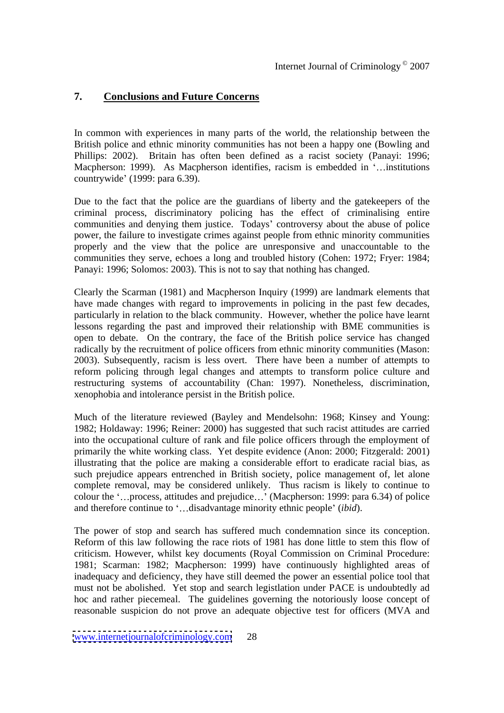#### **7. Conclusions and Future Concerns**

In common with experiences in many parts of the world, the relationship between the British police and ethnic minority communities has not been a happy one (Bowling and Phillips: 2002). Britain has often been defined as a racist society (Panayi: 1996; Macpherson: 1999). As Macpherson identifies, racism is embedded in '...institutions countrywide' (1999: para 6.39).

Due to the fact that the police are the guardians of liberty and the gatekeepers of the criminal process, discriminatory policing has the effect of criminalising entire communities and denying them justice. Todays' controversy about the abuse of police power, the failure to investigate crimes against people from ethnic minority communities properly and the view that the police are unresponsive and unaccountable to the communities they serve, echoes a long and troubled history (Cohen: 1972; Fryer: 1984; Panayi: 1996; Solomos: 2003). This is not to say that nothing has changed.

Clearly the Scarman (1981) and Macpherson Inquiry (1999) are landmark elements that have made changes with regard to improvements in policing in the past few decades, particularly in relation to the black community. However, whether the police have learnt lessons regarding the past and improved their relationship with BME communities is open to debate. On the contrary, the face of the British police service has changed radically by the recruitment of police officers from ethnic minority communities (Mason: 2003). Subsequently, racism is less overt. There have been a number of attempts to reform policing through legal changes and attempts to transform police culture and restructuring systems of accountability (Chan: 1997). Nonetheless, discrimination, xenophobia and intolerance persist in the British police.

Much of the literature reviewed (Bayley and Mendelsohn: 1968; Kinsey and Young: 1982; Holdaway: 1996; Reiner: 2000) has suggested that such racist attitudes are carried into the occupational culture of rank and file police officers through the employment of primarily the white working class. Yet despite evidence (Anon: 2000; Fitzgerald: 2001) illustrating that the police are making a considerable effort to eradicate racial bias, as such prejudice appears entrenched in British society, police management of, let alone complete removal, may be considered unlikely. Thus racism is likely to continue to colour the '...process, attitudes and prejudice...' (Macpherson: 1999: para 6.34) of police and therefore continue to '...disadvantage minority ethnic people' *(ibid)*.

The power of stop and search has suffered much condemnation since its conception. Reform of this law following the race riots of 1981 has done little to stem this flow of criticism. However, whilst key documents (Royal Commission on Criminal Procedure: 1981; Scarman: 1982; Macpherson: 1999) have continuously highlighted areas of inadequacy and deficiency, they have still deemed the power an essential police tool that must not be abolished. Yet stop and search legistlation under PACE is undoubtedly ad hoc and rather piecemeal. The guidelines governing the notoriously loose concept of reasonable suspicion do not prove an adequate objective test for officers (MVA and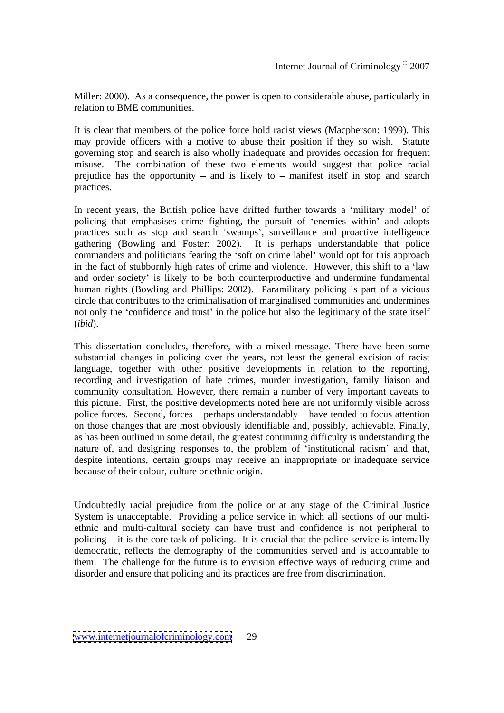Miller: 2000). As a consequence, the power is open to considerable abuse, particularly in relation to BME communities.

It is clear that members of the police force hold racist views (Macpherson: 1999). This may provide officers with a motive to abuse their position if they so wish. Statute governing stop and search is also wholly inadequate and provides occasion for frequent misuse. The combination of these two elements would suggest that police racial prejudice has the opportunity – and is likely to – manifest itself in stop and search practices.

In recent years, the British police have drifted further towards a 'military model' of policing that emphasises crime fighting, the pursuit of 'enemies within' and adopts practices such as stop and search 'swamps', surveillance and proactive intelligence gathering (Bowling and Foster: 2002). It is perhaps understandable that police commanders and politicians fearing the 'soft on crime label' would opt for this approach in the fact of stubbornly high rates of crime and violence. However, this shift to a 'law and order society is likely to be both counterproductive and undermine fundamental human rights (Bowling and Phillips: 2002). Paramilitary policing is part of a vicious circle that contributes to the criminalisation of marginalised communities and undermines not only the 'confidence and trust' in the police but also the legitimacy of the state itself (*ibid*).

This dissertation concludes, therefore, with a mixed message. There have been some substantial changes in policing over the years, not least the general excision of racist language, together with other positive developments in relation to the reporting, recording and investigation of hate crimes, murder investigation, family liaison and community consultation. However, there remain a number of very important caveats to this picture. First, the positive developments noted here are not uniformly visible across police forces. Second, forces  $-$  perhaps understandably  $-$  have tended to focus attention on those changes that are most obviously identifiable and, possibly, achievable. Finally, as has been outlined in some detail, the greatest continuing difficulty is understanding the nature of, and designing responses to, the problem of 'institutional racism' and that, despite intentions, certain groups may receive an inappropriate or inadequate service because of their colour, culture or ethnic origin.

Undoubtedly racial prejudice from the police or at any stage of the Criminal Justice System is unacceptable. Providing a police service in which all sections of our multi ethnic and multi-cultural society can have trust and confidence is not peripheral to policing  $-$  it is the core task of policing. It is crucial that the police service is internally democratic, reflects the demography of the communities served and is accountable to them. The challenge for the future is to envision effective ways of reducing crime and disorder and ensure that policing and its practices are free from discrimination.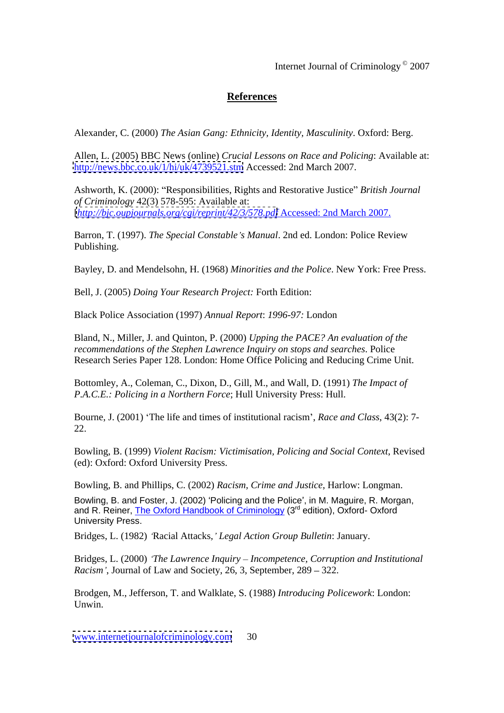Internet Journal of Criminology © 2007

# **References**

Alexander, C. (2000) *The Asian Gang: Ethnicity, Identity, Masculinity*. Oxford: Berg.

Allen, L. (2005) BBC News (online) *Crucial Lessons on Race and Policing*: Available at: <http://news.bbc.co.uk/1/hi/uk/4739521.stm> Accessed: 2nd March 2007.

Ashworth, K. (2000): "Responsibilities, Rights and Restorative Justice" British Journal *of Criminology* 42(3) 578-595: Available at: [*<http://bjc.oupjournals.org/cgi/reprint/42/3/578.pdf>* Accessed: 2nd March 2007.

Barron, T. (1997). *The Special Constable s Manual*. 2nd ed. London: Police Review Publishing.

Bayley, D. and Mendelsohn, H. (1968) *Minorities and the Police*. New York: Free Press.

Bell, J. (2005) *Doing Your Research Project:* Forth Edition:

Black Police Association (1997) *Annual Report*: *1996-97:* London

Bland, N., Miller, J. and Quinton, P. (2000) *Upping the PACE? An evaluation of the recommendations of the Stephen Lawrence Inquiry on stops and searches*. Police Research Series Paper 128. London: Home Office Policing and Reducing Crime Unit.

Bottomley, A., Coleman, C., Dixon, D., Gill, M., and Wall, D. (1991) *The Impact of P.A.C.E.: Policing in a Northern Force*; Hull University Press: Hull.

Bourne, J. (2001) The life and times of institutional racism , *Race and Class*, 43(2): 7- 22.

Bowling, B. (1999) *Violent Racism: Victimisation, Policing and Social Context*, Revised (ed): Oxford: Oxford University Press.

Bowling, B. and Phillips, C. (2002) *Racism, Crime and Justice*, Harlow: Longman. Bowling, B. and Foster, J. (2002) 'Policing and the Police', in M. Maguire, R. Morgan, and R. Reiner, The Oxford Handbook of Criminology (3<sup>rd</sup> edition), Oxford-Oxford University Press.

Bridges, L. (1982) Racial Attacks*, Legal Action Group Bulletin*: January.

Bridges, L. (2000) *The Lawrence Inquiry Incompetence, Corruption and Institutional Racism*', Journal of Law and Society, 26, 3, September,  $289 - 322$ .

Brodgen, M., Jefferson, T. and Walklate, S. (1988) *Introducing Policework*: London: Unwin.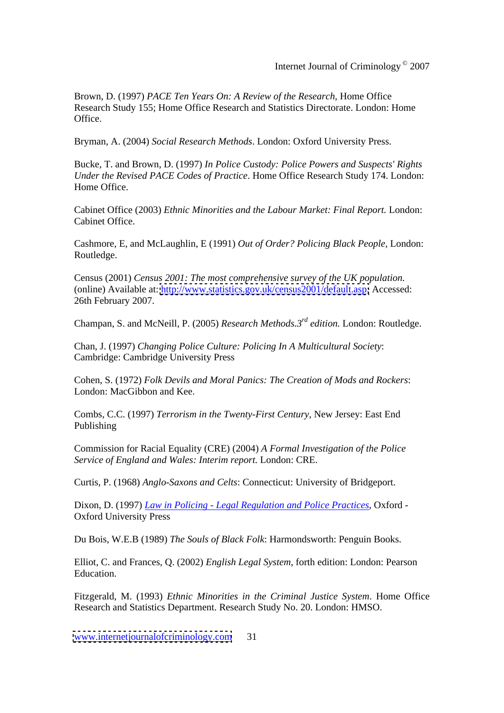Brown, D. (1997) *PACE Ten Years On: A Review of the Research*, Home Office Research Study 155; Home Office Research and Statistics Directorate. London: Home Office.

Bryman, A. (2004) *Social Research Methods*. London: Oxford University Press.

Bucke, T. and Brown, D. (1997) *In Police Custody: Police Powers and Suspects' Rights Under the Revised PACE Codes of Practice*. Home Office Research Study 174. London: Home Office.

Cabinet Office (2003) *Ethnic Minorities and the Labour Market: Final Report.* London: Cabinet Office.

Cashmore, E, and McLaughlin, E (1991) *Out of Order? Policing Black People,* London: Routledge. The contract of the contract of the contract of the contract of the contract of the contract of the contract of the contract of the contract of the contract of the contract of the contract of the contract of the

Census (2001) *Census 2001: The most comprehensive survey of the UK population.* (online) Available at:<http://www.statistics.gov.uk/census2001/default.asp;> Accessed: 26th February 2007.

Champan, S. and McNeill, P. (2005) *Research Methods.3rd edition.* London: Routledge.

Chan, J. (1997) *Changing Police Culture: Policing In A Multicultural Society*: Cambridge: Cambridge University Press

Cohen, S. (1972) *Folk Devils and Moral Panics: The Creation of Mods and Rockers*: London: MacGibbon and Kee.

Combs, C.C. (1997) *Terrorism in the Twenty-First Century,* New Jersey: East End Publishing

Commission for Racial Equality (CRE) (2004) *A Formal Investigation of the Police Service of England and Wales: Interim report.* London: CRE.

Curtis, P. (1968) *Anglo-Saxons and Celts*: Connecticut: University of Bridgeport.

Dixon, D. (1997) *Law in Policing - Legal Regulation and Police Practices*, Oxford - Oxford University Press

Du Bois, W.E.B (1989) *The Souls of Black Folk*: Harmondsworth: Penguin Books.

Elliot, C. and Frances, Q. (2002) *English Legal System*, forth edition: London: Pearson Education.

Fitzgerald, M. (1993) *Ethnic Minorities in the Criminal Justice System*. Home Office Research and Statistics Department. Research Study No. 20. London: HMSO.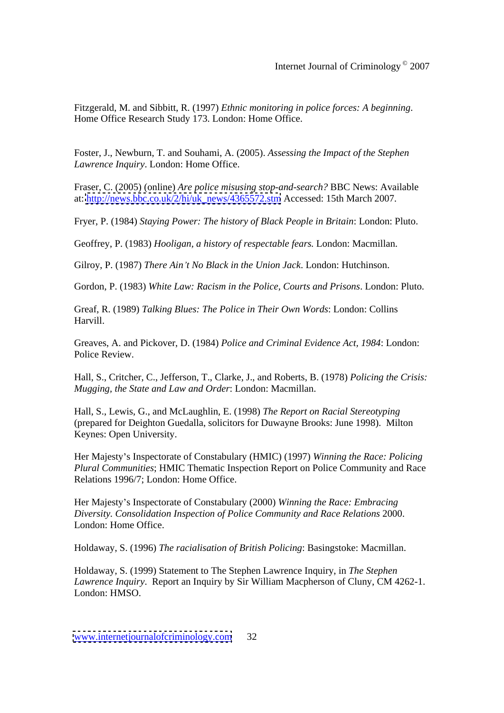Fitzgerald, M. and Sibbitt, R. (1997) *Ethnic monitoring in police forces: A beginning*. Home Office Research Study 173. London: Home Office.

Foster, J., Newburn, T. and Souhami, A. (2005). *Assessing the Impact of the Stephen Lawrence Inquiry*. London: Home Office.

Fraser, C. (2005) (online) *Are police misusing stop-and-search?* BBC News: Available at: [http://news.bbc.co.uk/2/hi/uk\\_news/4365572.stm](http://news.bbc.co.uk/2/hi/uk_news/4365572.stm) Accessed: 15th March 2007.

Fryer, P. (1984) *Staying Power: The history of Black People in Britain*: London: Pluto.

Geoffrey, P. (1983) *Hooligan, a history of respectable fears.* London: Macmillan.

Gilroy, P. (1987) *There Ain t No Black in the Union Jack*. London: Hutchinson.

Gordon, P. (1983) *White Law: Racism in the Police, Courts and Prisons*. London: Pluto.

Greaf, R. (1989) *Talking Blues: The Police in Their Own Words*: London: Collins Harvill.

Greaves, A. and Pickover, D. (1984) *Police and Criminal Evidence Act, 1984*: London: Police Review.

Hall, S., Critcher, C., Jefferson, T., Clarke, J., and Roberts, B. (1978) *Policing the Crisis: Mugging, the State and Law and Order*: London: Macmillan.

Hall, S., Lewis, G., and McLaughlin, E. (1998) *The Report on Racial Stereotyping*  (prepared for Deighton Guedalla, solicitors for Duwayne Brooks: June 1998). Milton Keynes: Open University.

Her Majesty's Inspectorate of Constabulary (HMIC) (1997) *Winning the Race: Policing Plural Communities*; HMIC Thematic Inspection Report on Police Community and Race Relations 1996/7; London: Home Office.

Her Majesty's Inspectorate of Constabulary (2000) *Winning the Race: Embracing Diversity. Consolidation Inspection of Police Community and Race Relations* 2000. London: Home Office.

Holdaway, S. (1996) *The racialisation of British Policing*: Basingstoke: Macmillan.

Holdaway, S. (1999) Statement to The Stephen Lawrence Inquiry, in *The Stephen Lawrence Inquiry*. Report an Inquiry by Sir William Macpherson of Cluny, CM 4262-1. London: HMSO.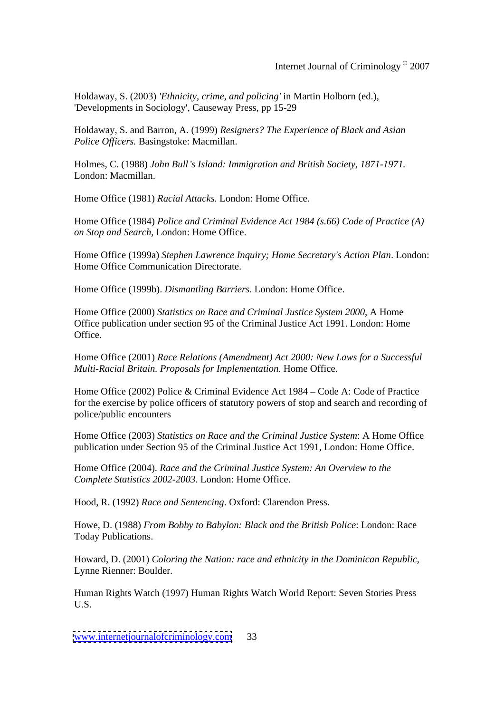Holdaway, S. (2003) *'Ethnicity, crime, and policing'* in Martin Holborn (ed.), 'Developments in Sociology', Causeway Press, pp 15-29

Holdaway, S. and Barron, A. (1999) *Resigners? The Experience of Black and Asian Police Officers.* Basingstoke: Macmillan.

Holmes, C. (1988) *John Bull s Island: Immigration and British Society, 1871-1971.* London: Macmillan.

Home Office (1981) *Racial Attacks.* London: Home Office.

Home Office (1984) *Police and Criminal Evidence Act 1984 (s.66) Code of Practice (A) on Stop and Search*, London: Home Office.

Home Office (1999a) *Stephen Lawrence Inquiry; Home Secretary's Action Plan*. London: Home Office Communication Directorate.

Home Office (1999b). *Dismantling Barriers*. London: Home Office.

Home Office (2000) *Statistics on Race and Criminal Justice System 2000*, A Home Office publication under section 95 of the Criminal Justice Act 1991. London: Home Office.

Home Office (2001) *Race Relations (Amendment) Act 2000: New Laws for a Successful Multi-Racial Britain. Proposals for Implementation.* Home Office.

Home Office (2002) Police & Criminal Evidence Act  $1984 - \text{Code A: Code of Practice}$ for the exercise by police officers of statutory powers of stop and search and recording of police/public encounters

Home Office (2003) *Statistics on Race and the Criminal Justice System*: A Home Office publication under Section 95 of the Criminal Justice Act 1991, London: Home Office.

Home Office (2004). *Race and the Criminal Justice System: An Overview to the Complete Statistics 2002-2003*. London: Home Office.

Hood, R. (1992) *Race and Sentencing*. Oxford: Clarendon Press.

Howe, D. (1988) *From Bobby to Babylon: Black and the British Police*: London: Race Today Publications.

Howard, D. (2001) *Coloring the Nation: race and ethnicity in the Dominican Republic*, Lynne Rienner: Boulder.

Human Rights Watch (1997) Human Rights Watch World Report: Seven Stories Press U.S.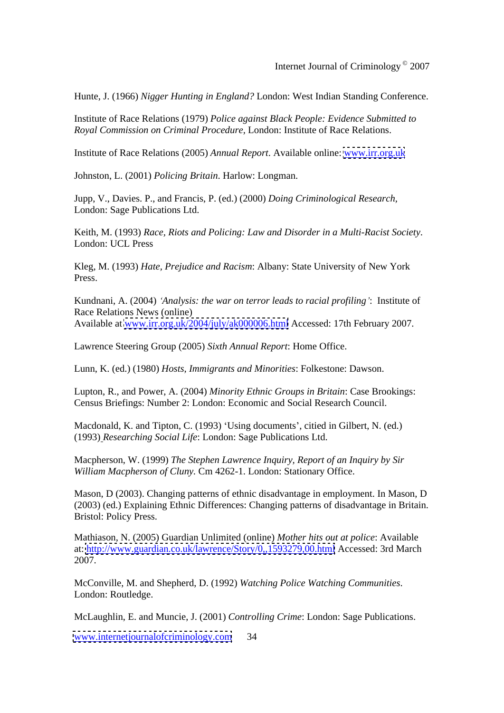Hunte, J. (1966) *Nigger Hunting in England?* London: West Indian Standing Conference.

Institute of Race Relations (1979) *Police against Black People: Evidence Submitted to Royal Commission on Criminal Procedure,* London: Institute of Race Relations.

Institute of Race Relations (2005) *Annual Report*. Available online: [www.irr.org.uk](http://www.irr.org.uk)

Johnston, L. (2001) *Policing Britain*. Harlow: Longman.

Jupp, V., Davies. P., and Francis, P. (ed.) (2000) *Doing Criminological Research,* London: Sage Publications Ltd.

Keith, M. (1993) *Race, Riots and Policing: Law and Disorder in a Multi-Racist Society*. London: UCL Press

Kleg, M. (1993) *Hate, Prejudice and Racism*: Albany: State University of New York Press.

Kundnani, A. (2004) *Analysis: the war on terror leads to racial profiling* : Institute of Race Relations News (online) Available at [www.irr.org.uk/2004/july/ak000006.html](http://www.irr.org.uk/2004/july/ak000006.html) Accessed: 17th February 2007.

Lawrence Steering Group (2005) *Sixth Annual Report*: Home Office.

Lunn, K. (ed.) (1980) *Hosts, Immigrants and Minorities*: Folkestone: Dawson.

Lupton, R., and Power, A. (2004) *Minority Ethnic Groups in Britain*: Case Brookings: Census Briefings: Number 2: London: Economic and Social Research Council.

Macdonald, K. and Tipton, C. (1993) 'Using documents', citied in Gilbert, N. (ed.) (1993) *Researching Social Life*: London: Sage Publications Ltd.

Macpherson, W. (1999) *The Stephen Lawrence Inquiry, Report of an Inquiry by Sir William Macpherson of Cluny.* Cm 4262-1. London: Stationary Office.

Mason, D (2003). Changing patterns of ethnic disadvantage in employment. In Mason, D (2003) (ed.) Explaining Ethnic Differences: Changing patterns of disadvantage in Britain. Bristol: Policy Press.

Mathiason, N. (2005) Guardian Unlimited (online) *Mother hits out at police*: Available at:<http://www.guardian.co.uk/lawrence/Story/0,,1593279,00.html> Accessed: 3rd March 2007.

McConville, M. and Shepherd, D. (1992) *Watching Police Watching Communities*. London: Routledge.

McLaughlin, E. and Muncie, J. (2001) *Controlling Crime*: London: Sage Publications.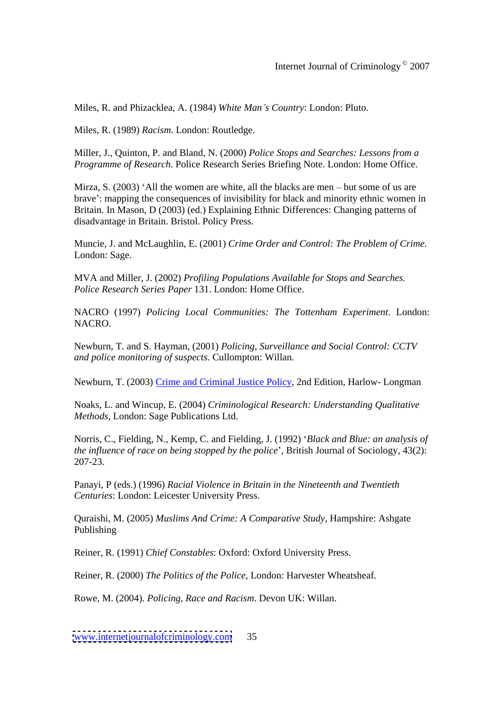Miles, R. and Phizacklea, A. (1984) *White Man s Country*: London: Pluto.

Miles, R. (1989) *Racism*. London: Routledge.

Miller, J., Quinton, P. and Bland, N. (2000) *Police Stops and Searches: Lessons from a Programme of Research*. Police Research Series Briefing Note. London: Home Office.

Mirza, S.  $(2003)$  'All the women are white, all the blacks are men – but some of us are brave': mapping the consequences of invisibility for black and minority ethnic women in Britain. In Mason, D (2003) (ed.) Explaining Ethnic Differences: Changing patterns of disadvantage in Britain. Bristol. Policy Press.

Muncie, J. and McLaughlin, E. (2001) *Crime Order and Control: The Problem of Crime.*  London: Sage.

MVA and Miller, J. (2002) *Profiling Populations Available for Stops and Searches. Police Research Series Paper* 131. London: Home Office.

NACRO (1997) *Policing Local Communities: The Tottenham Experiment*. London: NACRO.

Newburn, T. and S. Hayman, (2001) *Policing, Surveillance and Social Control: CCTV and police monitoring of suspects*. Cullompton: Willan.

Newburn, T. (2003) Crime and Criminal Justice Policy, 2nd Edition, Harlow- Longman

Noaks, L. and Wincup, E. (2004) *Criminological Research: Understanding Qualitative Methods,* London: Sage Publications Ltd.

Norris, C., Fielding, N., Kemp, C. and Fielding, J. (1992) *Black and Blue: an analysis of the influence of race on being stopped by the police* , British Journal of Sociology, 43(2): 207-23.

Panayi, P (eds.) (1996) *Racial Violence in Britain in the Nineteenth and Twentieth Centuries*: London: Leicester University Press.

Quraishi, M. (2005) *Muslims And Crime: A Comparative Study*, Hampshire: Ashgate Publishing **Publishing** 

Reiner, R. (1991) *Chief Constables*: Oxford: Oxford University Press.

Reiner, R. (2000) *The Politics of the Police,* London: Harvester Wheatsheaf.

Rowe, M. (2004). *Policing, Race and Racism*. Devon UK: Willan.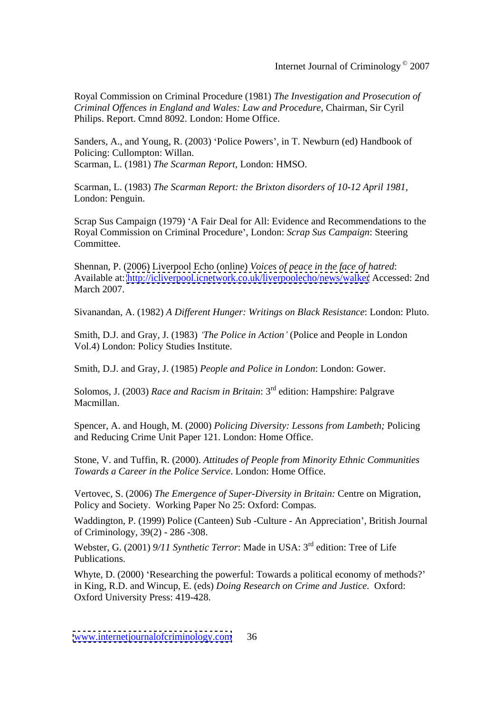Royal Commission on Criminal Procedure (1981) *The Investigation and Prosecution of Criminal Offences in England and Wales: Law and Procedure*, Chairman, Sir Cyril Philips. Report. Cmnd 8092. London: Home Office.

Sanders, A., and Young, R. (2003) 'Police Powers', in T. Newburn (ed) Handbook of Policing: Cullompton: Willan. Scarman, L. (1981) *The Scarman Report,* London: HMSO.

Scarman, L. (1983) *The Scarman Report: the Brixton disorders of 10-12 April 1981*, London: Penguin.

Scrap Sus Campaign (1979) 'A Fair Deal for All: Evidence and Recommendations to the Royal Commission on Criminal Procedure ,London: *Scrap Sus Campaign*: Steering Committee.

Shennan, P. (2006) Liverpool Echo (online) *Voices of peace in the face of hatred*: Available at:<http://icliverpool.icnetwork.co.uk/liverpoolecho/news/walker> Accessed: 2nd March 2007.

Sivanandan, A. (1982) *A Different Hunger: Writings on Black Resistance*: London: Pluto.

Smith, D.J. and Gray, J. (1983) *The Police in Action* (Police and People in London Vol.4) London: Policy Studies Institute.

Smith, D.J. and Gray, J. (1985) *People and Police in London*: London: Gower.

Solomos, J. (2003) *Race and Racism in Britain*: 3rd edition: Hampshire: Palgrave Macmillan.

Spencer, A. and Hough, M. (2000) *Policing Diversity: Lessons from Lambeth;* Policing and Reducing Crime Unit Paper 121. London: Home Office.

Stone, V. and Tuffin, R. (2000). *Attitudes of People from Minority Ethnic Communities Towards a Career in the Police Service*. London: Home Office.

Vertovec, S. (2006) *The Emergence of Super-Diversity in Britain:* Centre on Migration, Policy and Society. Working Paper No 25: Oxford: Compas.

Waddington, P. (1999) Police (Canteen) Sub -Culture - An Appreciation , British Journal of Criminology, 39(2) - 286 -308.

Webster, G. (2001) 9/11 Synthetic Terror: Made in USA: 3<sup>rd</sup> edition: Tree of Life Publications.

Whyte, D. (2000) 'Researching the powerful: Towards a political economy of methods?' in King, R.D. and Wincup, E. (eds) *Doing Research on Crime and Justice*. Oxford: Oxford University Press: 419-428.